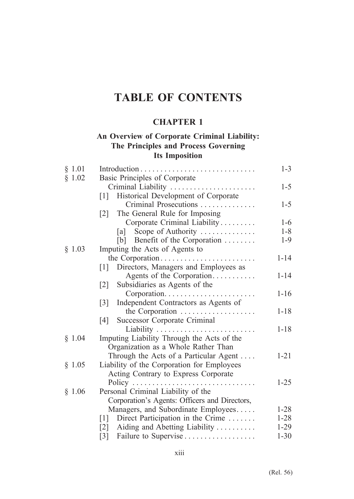# **CHAPTER 1**

## **An Overview of Corporate Criminal Liability: The Principles and Process Governing Its Imposition**

| § 1.01 |                                                           | $1 - 3$  |
|--------|-----------------------------------------------------------|----------|
| § 1.02 | Basic Principles of Corporate                             |          |
|        | Criminal Liability                                        | $1 - 5$  |
|        | Historical Development of Corporate<br>$\lceil 1 \rceil$  |          |
|        | Criminal Prosecutions                                     | $1 - 5$  |
|        | The General Rule for Imposing<br>$\lceil 2 \rceil$        |          |
|        | Corporate Criminal Liability                              | $1 - 6$  |
|        | Scope of Authority<br> a                                  | $1 - 8$  |
|        | [b] Benefit of the Corporation $\dots \dots$              | $1-9$    |
| § 1.03 | Imputing the Acts of Agents to                            |          |
|        | the Corporation                                           | $1 - 14$ |
|        | Directors, Managers and Employees as<br>$\lceil 1 \rceil$ |          |
|        | Agents of the Corporation                                 | $1 - 14$ |
|        | $\lceil 2 \rceil$<br>Subsidiaries as Agents of the        |          |
|        |                                                           | $1 - 16$ |
|        | Independent Contractors as Agents of<br>$\lceil 3 \rceil$ |          |
|        | the Corporation                                           | $1 - 18$ |
|        | Successor Corporate Criminal<br>$\lceil 4 \rceil$         |          |
|        | Liability                                                 | $1 - 18$ |
| § 1.04 | Imputing Liability Through the Acts of the                |          |
|        | Organization as a Whole Rather Than                       |          |
|        | Through the Acts of a Particular Agent                    | $1 - 21$ |
| § 1.05 | Liability of the Corporation for Employees                |          |
|        | Acting Contrary to Express Corporate                      |          |
|        | Policy                                                    | $1 - 25$ |
| § 1.06 | Personal Criminal Liability of the                        |          |
|        | Corporation's Agents: Officers and Directors,             |          |
|        | Managers, and Subordinate Employees                       | $1 - 28$ |
|        | Direct Participation in the Crime<br> 1                   | $1 - 28$ |
|        | Aiding and Abetting Liability<br>$\lceil 2 \rceil$        | $1 - 29$ |
|        | Failure to Supervise<br>$\lceil 3 \rceil$                 | $1 - 30$ |
|        |                                                           |          |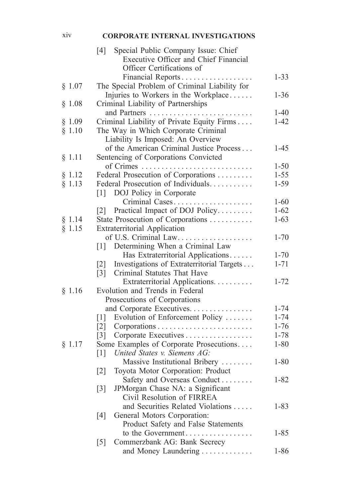#### xiv **CORPORATE INTERNAL INVESTIGATIONS**

|        | Special Public Company Issue: Chief<br>[4]                      |          |
|--------|-----------------------------------------------------------------|----------|
|        | Executive Officer and Chief Financial                           |          |
|        | Officer Certifications of                                       |          |
|        | Financial Reports                                               | $1 - 33$ |
| § 1.07 | The Special Problem of Criminal Liability for                   |          |
|        | Injuries to Workers in the Workplace                            | $1 - 36$ |
| § 1.08 | Criminal Liability of Partnerships                              |          |
|        | and Partners                                                    | $1-40$   |
| § 1.09 | Criminal Liability of Private Equity Firms                      | $1 - 42$ |
| § 1.10 | The Way in Which Corporate Criminal                             |          |
|        | Liability Is Imposed: An Overview                               |          |
|        | of the American Criminal Justice Process                        | $1 - 45$ |
| § 1.11 | Sentencing of Corporations Convicted                            |          |
|        | of Crimes                                                       | $1 - 50$ |
| § 1.12 | Federal Prosecution of Corporations                             | $1 - 55$ |
|        | Federal Prosecution of Individuals.                             |          |
| § 1.13 |                                                                 | $1 - 59$ |
|        | [1] DOJ Policy in Corporate                                     |          |
|        | Criminal Cases                                                  | $1 - 60$ |
|        | [2] Practical Impact of DOJ Policy                              | $1 - 62$ |
| § 1.14 | State Prosecution of Corporations                               | $1 - 63$ |
| § 1.15 | <b>Extraterritorial Application</b>                             |          |
|        | of U.S. Criminal Law.                                           | $1 - 70$ |
|        | Determining When a Criminal Law<br>$\lceil 1 \rceil$            |          |
|        | Has Extraterritorial Applications                               | $1 - 70$ |
|        | Investigations of Extraterritorial Targets<br>$\lceil 2 \rceil$ | $1 - 71$ |
|        | Criminal Statutes That Have<br>$\lceil 3 \rceil$                |          |
|        | Extraterritorial Applications.                                  | $1 - 72$ |
| § 1.16 | Evolution and Trends in Federal                                 |          |
|        | Prosecutions of Corporations                                    |          |
|        | and Corporate Executives.                                       | $1 - 74$ |
|        | Evolution of Enforcement Policy<br>$\lceil 1 \rceil$            | $1 - 74$ |
|        | $\lceil 2 \rceil$                                               | $1 - 76$ |
|        | Corporate Executives<br>$\lceil 3 \rceil$                       | $1 - 78$ |
| § 1.17 | Some Examples of Corporate Prosecutions                         | $1 - 80$ |
|        | United States v. Siemens AG:<br>$\lceil 1 \rceil$               |          |
|        | Massive Institutional Bribery                                   | $1 - 80$ |
|        | Toyota Motor Corporation: Product<br>$[2]$                      |          |
|        | Safety and Overseas Conduct                                     | $1 - 82$ |
|        | JPMorgan Chase NA: a Significant<br>$\lceil 3 \rceil$           |          |
|        | Civil Resolution of FIRREA                                      |          |
|        | and Securities Related Violations                               | $1 - 83$ |
|        | General Motors Corporation:<br>[4]                              |          |
|        | Product Safety and False Statements                             |          |
|        | to the Government                                               | $1 - 85$ |
|        | Commerzbank AG: Bank Secrecy<br>$\lceil 5 \rceil$               |          |
|        | and Money Laundering                                            | $1 - 86$ |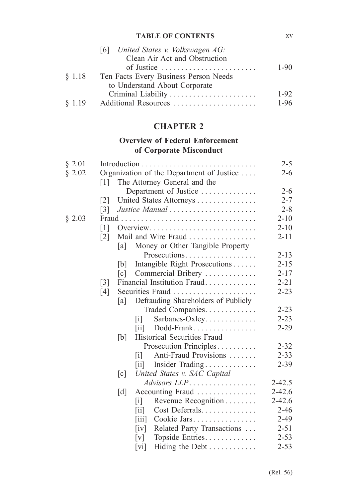| $1 - 90$ |
|----------|
|          |
|          |
| $1 - 92$ |
| $1 - 96$ |
|          |

# **CHAPTER 2**

# **Overview of Federal Enforcement of Corporate Misconduct**

| § 2.01 |                   |                   |                                                                   |                            | $2 - 5$    |
|--------|-------------------|-------------------|-------------------------------------------------------------------|----------------------------|------------|
| § 2.02 |                   |                   | Organization of the Department of Justice                         |                            | $2 - 6$    |
|        | $\lceil 1 \rceil$ |                   | The Attorney General and the                                      |                            |            |
|        |                   |                   | Department of Justice                                             |                            | $2 - 6$    |
|        | $\lceil 2 \rceil$ |                   | United States Attorneys                                           |                            | $2 - 7$    |
|        | $\lceil 3 \rceil$ |                   | Justice Manual                                                    |                            | $2 - 8$    |
| § 2.03 | Fraud.            |                   |                                                                   |                            | $2 - 10$   |
|        | $\lceil 1 \rceil$ |                   | Overview. $\dots \dots \dots \dots \dots \dots \dots \dots \dots$ |                            | $2 - 10$   |
|        | $\lceil 2 \rceil$ |                   | Mail and Wire Fraud                                               |                            | $2 - 11$   |
|        |                   | [a]               | Money or Other Tangible Property                                  |                            |            |
|        |                   |                   | Prosecutions                                                      |                            | $2 - 13$   |
|        |                   | b                 | Intangible Right Prosecutions                                     |                            | $2 - 15$   |
|        |                   | $\lceil c \rceil$ | Commercial Bribery                                                |                            | $2 - 17$   |
|        | $\lceil 3 \rceil$ |                   | Financial Institution Fraud                                       |                            | $2 - 21$   |
|        | [4]               |                   |                                                                   |                            | $2 - 23$   |
|        |                   | [a]               | Defrauding Shareholders of Publicly                               |                            |            |
|        |                   |                   | Traded Companies.                                                 |                            | $2 - 23$   |
|        |                   |                   | $\mathbf{ii}$                                                     | Sarbanes-Oxley             | $2 - 23$   |
|        |                   |                   | $\left\lceil \text{i} \mathbf{i} \right\rceil$                    | Dodd-Frank                 | $2 - 29$   |
|        |                   | [b]               | Historical Securities Fraud                                       |                            |            |
|        |                   |                   | Prosecution Principles                                            |                            | $2 - 32$   |
|        |                   |                   | $\lceil i \rceil$                                                 | Anti-Fraud Provisions      | $2 - 33$   |
|        |                   |                   | $\left[\text{iii}\right]$                                         | Insider Trading            | $2 - 39$   |
|        |                   | $\lceil c \rceil$ | United States v. SAC Capital                                      |                            |            |
|        |                   |                   | $Advisors LLP \ldots \ldots \ldots \ldots$                        |                            | $2 - 42.5$ |
|        |                   | $\lceil d \rceil$ | Accounting Fraud                                                  |                            | $2 - 42.6$ |
|        |                   |                   | $\lceil i \rceil$                                                 | Revenue Recognition        | $2 - 42.6$ |
|        |                   |                   | $\vert$ 11 $\vert$                                                | Cost Deferrals             | $2 - 46$   |
|        |                   |                   | $\left\lceil \mathrm{iii} \right\rceil$                           | Cookie Jars                | $2 - 49$   |
|        |                   |                   | iv                                                                | Related Party Transactions | $2 - 51$   |
|        |                   |                   | [v]                                                               | Topside Entries            | $2 - 53$   |
|        |                   |                   | $\lceil vi \rceil$                                                | Hiding the Debt            | $2 - 53$   |

xv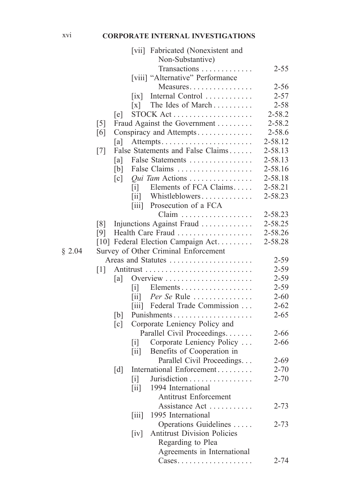#### xvi **CORPORATE INTERNAL INVESTIGATIONS**

|        |                   |                   |                                                       | [vii] Fabricated (Nonexistent and                      |          |
|--------|-------------------|-------------------|-------------------------------------------------------|--------------------------------------------------------|----------|
|        |                   |                   |                                                       | Non-Substantive)                                       |          |
|        |                   |                   |                                                       | Transactions                                           | $2 - 55$ |
|        |                   |                   |                                                       | [viii] "Alternative" Performance                       |          |
|        |                   |                   |                                                       | Measures                                               | $2 - 56$ |
|        |                   |                   | $\vert$ ix $\vert$                                    | Internal Control                                       | $2 - 57$ |
|        |                   |                   | $\lceil x \rceil$                                     | The Ides of March                                      | $2 - 58$ |
|        |                   | [e]               |                                                       | STOCK Act                                              | 2-58.2   |
|        | $\lceil 5 \rceil$ |                   |                                                       | Fraud Against the Government                           | 2-58.2   |
|        | [6]               |                   |                                                       | Conspiracy and Attempts                                | 2-58.6   |
|        |                   | [a]               |                                                       |                                                        | 2-58.12  |
|        | $\lceil 7 \rceil$ |                   |                                                       | False Statements and False Claims                      | 2-58.13  |
|        |                   | [a]               |                                                       | False Statements                                       | 2-58.13  |
|        |                   | [b]               |                                                       | False Claims                                           | 2-58.16  |
|        |                   | $\lceil c \rceil$ |                                                       | Qui Tam Actions                                        | 2-58.18  |
|        |                   |                   | $\lceil i \rceil$                                     | Elements of FCA Claims                                 | 2-58.21  |
|        |                   |                   | $\left[ 1i \right]$                                   | Whistleblowers                                         | 2-58.23  |
|        |                   |                   |                                                       | [iii] Prosecution of a FCA                             |          |
|        |                   |                   |                                                       | Claim                                                  | 2-58.23  |
|        | $\lceil 8 \rceil$ |                   |                                                       | Injunctions Against Fraud                              | 2-58.25  |
|        | [9]               |                   |                                                       | Health Care Fraud                                      | 2-58.26  |
|        |                   |                   |                                                       | [10] Federal Election Campaign Act.                    | 2-58.28  |
| § 2.04 |                   |                   |                                                       | Survey of Other Criminal Enforcement                   |          |
|        |                   |                   |                                                       |                                                        | $2 - 59$ |
|        | $\lceil 1 \rceil$ |                   |                                                       |                                                        | $2 - 59$ |
|        |                   | [a]               |                                                       |                                                        | $2 - 59$ |
|        |                   |                   |                                                       |                                                        | $2 - 59$ |
|        |                   |                   |                                                       | $\begin{bmatrix} iii \end{bmatrix}$ <i>Per Se</i> Rule | $2 - 60$ |
|        |                   |                   |                                                       | [iii] Federal Trade Commission                         | $2 - 62$ |
|        |                   | [b]               |                                                       | Punishments                                            | $2 - 65$ |
|        |                   | $\lceil c \rceil$ |                                                       | Corporate Leniency Policy and                          |          |
|        |                   |                   |                                                       | Parallel Civil Proceedings.                            | $2 - 66$ |
|        |                   |                   | $\lceil i \rceil$                                     | Corporate Leniency Policy                              | $2 - 66$ |
|        |                   |                   | $\left[\text{iii}\right]$                             | Benefits of Cooperation in                             |          |
|        |                   |                   |                                                       | Parallel Civil Proceedings                             | $2 - 69$ |
|        |                   | [d]               |                                                       | International Enforcement                              | $2 - 70$ |
|        |                   |                   | $\lceil i \rceil$                                     | Jurisdiction                                           | $2 - 70$ |
|        |                   |                   | $\left[\text{iii}\right]$                             | 1994 International                                     |          |
|        |                   |                   |                                                       | <b>Antitrust Enforcement</b>                           |          |
|        |                   |                   |                                                       | Assistance Act                                         | $2 - 73$ |
|        |                   |                   |                                                       | 1995 International                                     |          |
|        |                   |                   | $\left\lceil \text{i} \text{i} \text{i} \right\rceil$ | Operations Guidelines                                  | $2 - 73$ |
|        |                   |                   |                                                       | <b>Antitrust Division Policies</b>                     |          |
|        |                   |                   | $\left[iv\right]$                                     |                                                        |          |
|        |                   |                   |                                                       | Regarding to Plea                                      |          |
|        |                   |                   |                                                       | Agreements in International                            |          |
|        |                   |                   |                                                       | $\text{Cases.} \dots \dots \dots \dots \dots \dots$    | $2 - 74$ |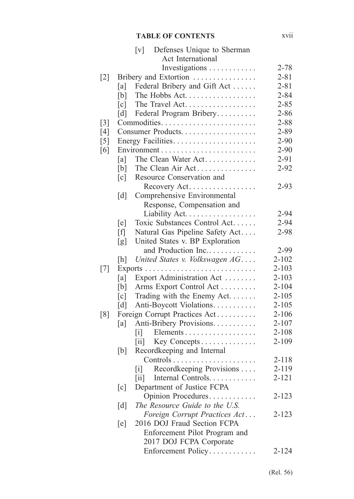|                   |                   | Defenses Unique to Sherman<br>$\lceil v \rceil$ |           |
|-------------------|-------------------|-------------------------------------------------|-----------|
|                   |                   | Act International                               |           |
|                   |                   | Investigations                                  | $2 - 78$  |
| $\lceil 2 \rceil$ |                   | Bribery and Extortion                           | $2 - 81$  |
|                   | [a]               | Federal Bribery and Gift Act                    | $2 - 81$  |
|                   | [b]               | The Hobbs Act                                   | $2 - 84$  |
|                   | $\lceil c \rceil$ | The Travel Act                                  | $2 - 85$  |
|                   | $\lceil d \rceil$ | Federal Program Bribery                         | $2 - 86$  |
| $\lceil 3 \rceil$ |                   | Commodities                                     | $2 - 88$  |
| [4]               |                   | Consumer Products                               | $2 - 89$  |
| $\lceil 5 \rceil$ |                   |                                                 | $2 - 90$  |
| [6]               |                   |                                                 | $2 - 90$  |
|                   | [a]               | The Clean Water Act                             | $2 - 91$  |
|                   | [b]               | The Clean Air Act                               | $2 - 92$  |
|                   | $\lceil c \rceil$ | Resource Conservation and                       |           |
|                   |                   | Recovery Act                                    | $2 - 93$  |
|                   | $\lceil d \rceil$ | Comprehensive Environmental                     |           |
|                   |                   | Response, Compensation and                      |           |
|                   |                   | Liability Act.                                  | $2 - 94$  |
|                   | [e]               | Toxic Substances Control Act                    | $2 - 94$  |
|                   | [f]               | Natural Gas Pipeline Safety Act                 | $2 - 98$  |
|                   | [g]               | United States v. BP Exploration                 |           |
|                   |                   | and Production Inc                              | 2-99      |
|                   | [h]               | United States v. Volkswagen AG                  | $2 - 102$ |
| [7]               |                   | Exports<br>.                                    | $2 - 103$ |
|                   | [a]               | Export Administration Act                       | $2 - 103$ |
|                   | [b]               | Arms Export Control Act                         | $2 - 104$ |
|                   | [c]               | Trading with the Enemy Act                      | $2 - 105$ |
|                   | $\lceil d \rceil$ | Anti-Boycott Violations.                        | $2 - 105$ |
| [8]               |                   | Foreign Corrupt Practices Act                   | $2 - 106$ |
|                   | [a]               | Anti-Bribery Provisions.                        | $2 - 107$ |
|                   |                   | Elements<br>$\lceil i \rceil$                   | $2 - 108$ |
|                   |                   | Key Concepts<br>$\left[\text{iii}\right]$       | $2 - 109$ |
|                   | [b]               | Recordkeeping and Internal                      |           |
|                   |                   |                                                 | $2 - 118$ |
|                   |                   | Recordkeeping Provisions<br>$\lceil i \rceil$   | 2-119     |
|                   |                   | Internal Controls<br>$\left  \text{ii} \right $ | $2 - 121$ |
|                   | [c]               | Department of Justice FCPA                      |           |
|                   |                   | Opinion Procedures                              | $2 - 123$ |
|                   | $\lceil d \rceil$ | The Resource Guide to the U.S.                  |           |
|                   |                   | Foreign Corrupt Practices Act                   | $2 - 123$ |
|                   | [e]               | 2016 DOJ Fraud Section FCPA                     |           |
|                   |                   | Enforcement Pilot Program and                   |           |
|                   |                   | 2017 DOJ FCPA Corporate                         |           |
|                   |                   | Enforcement Policy                              | $2 - 124$ |
|                   |                   |                                                 |           |

xvii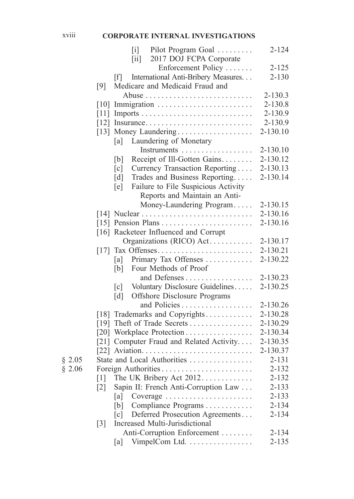# xviii **CORPORATE INTERNAL INVESTIGATIONS**

|        |                    | Pilot Program Goal<br>$\lceil i \rceil$<br>2017 DOJ FCPA Corporate<br>$\left[\text{iii}\right]$ | $2 - 124$    |
|--------|--------------------|-------------------------------------------------------------------------------------------------|--------------|
|        |                    | Enforcement Policy                                                                              | $2 - 125$    |
|        |                    | International Anti-Bribery Measures<br> f                                                       | $2 - 130$    |
|        | [9]                | Medicare and Medicaid Fraud and                                                                 |              |
|        |                    |                                                                                                 | $2 - 130.3$  |
|        | 10                 |                                                                                                 | 2-130.8      |
|        |                    |                                                                                                 | 2-130.9      |
|        |                    | [12] Insurance                                                                                  | 2-130.9      |
|        |                    | [13] Money Laundering                                                                           | 2-130.10     |
|        |                    | Laundering of Monetary<br>[a]                                                                   |              |
|        |                    |                                                                                                 | $2 - 130.10$ |
|        |                    | Receipt of Ill-Gotten Gains<br>[b]                                                              | 2-130.12     |
|        |                    | $\lceil c \rceil$<br>Currency Transaction Reporting                                             | 2-130.13     |
|        |                    | Trades and Business Reporting<br>$\lceil d \rceil$                                              | 2-130.14     |
|        |                    | Failure to File Suspicious Activity<br>[e]                                                      |              |
|        |                    | Reports and Maintain an Anti-                                                                   |              |
|        |                    | Money-Laundering Program                                                                        | 2-130.15     |
|        |                    |                                                                                                 | 2-130.16     |
|        |                    |                                                                                                 | 2-130.16     |
|        |                    | [16] Racketeer Influenced and Corrupt                                                           |              |
|        |                    | Organizations (RICO) Act.                                                                       | 2-130.17     |
|        | $\lceil 17 \rceil$ | Tax Offenses                                                                                    | 2-130.21     |
|        |                    | [a] Primary Tax Offenses                                                                        | 2-130.22     |
|        |                    | Four Methods of Proof<br>[b]                                                                    |              |
|        |                    | and Defenses                                                                                    | 2-130.23     |
|        |                    | Voluntary Disclosure Guidelines<br>$\lceil c \rceil$                                            | 2-130.25     |
|        |                    | Offshore Disclosure Programs<br>$\lceil d \rceil$                                               |              |
|        |                    | and Policies                                                                                    | 2-130.26     |
|        |                    | [18] Trademarks and Copyrights                                                                  | 2-130.28     |
|        |                    |                                                                                                 | 2-130.29     |
|        |                    | [20] Workplace Protection                                                                       | 2-130.34     |
|        |                    | [21] Computer Fraud and Related Activity                                                        | 2-130.35     |
|        |                    |                                                                                                 | 2-130.37     |
| \$2.05 |                    | State and Local Authorities                                                                     | $2 - 131$    |
| \$2.06 |                    | Foreign Authorities                                                                             | $2 - 132$    |
|        | $\lceil 1 \rceil$  | The UK Bribery Act 2012                                                                         | $2 - 132$    |
|        | $\lceil 2 \rceil$  | Sapin II: French Anti-Corruption Law                                                            | 2-133        |
|        |                    | Coverage<br>[a]                                                                                 | $2 - 133$    |
|        |                    | Compliance Programs<br>[b]                                                                      | $2 - 134$    |
|        |                    | Deferred Prosecution Agreements<br>$\lceil c \rceil$                                            | $2 - 134$    |
|        | $[3]$              | Increased Multi-Jurisdictional                                                                  |              |
|        |                    | Anti-Corruption Enforcement                                                                     | $2 - 134$    |
|        |                    | VimpelCom Ltd.<br>[a]                                                                           | $2 - 135$    |
|        |                    |                                                                                                 |              |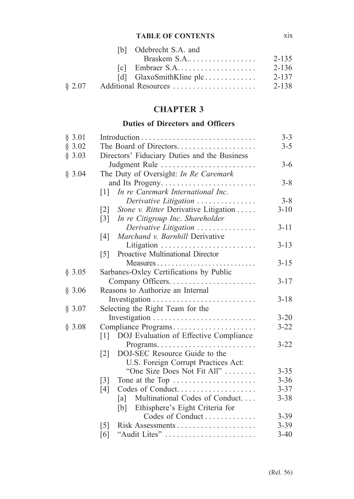#### **TABLE OF CONTENTS** xix

|        | [b] Odebrecht S.A. and |       |
|--------|------------------------|-------|
|        |                        | 2-135 |
|        |                        | 2-136 |
|        |                        | 2-137 |
| 8 2.07 | Additional Resources   | 2-138 |

# **CHAPTER 3**

# **Duties of Directors and Officers**

|                                                             | $3 - 3$                                                                                                                                                                                                                                                                                                                                                                                           |  |  |  |
|-------------------------------------------------------------|---------------------------------------------------------------------------------------------------------------------------------------------------------------------------------------------------------------------------------------------------------------------------------------------------------------------------------------------------------------------------------------------------|--|--|--|
|                                                             |                                                                                                                                                                                                                                                                                                                                                                                                   |  |  |  |
|                                                             |                                                                                                                                                                                                                                                                                                                                                                                                   |  |  |  |
|                                                             | $3-6$                                                                                                                                                                                                                                                                                                                                                                                             |  |  |  |
|                                                             |                                                                                                                                                                                                                                                                                                                                                                                                   |  |  |  |
|                                                             | $3 - 8$                                                                                                                                                                                                                                                                                                                                                                                           |  |  |  |
|                                                             |                                                                                                                                                                                                                                                                                                                                                                                                   |  |  |  |
|                                                             | $3 - 8$                                                                                                                                                                                                                                                                                                                                                                                           |  |  |  |
|                                                             | $3 - 10$                                                                                                                                                                                                                                                                                                                                                                                          |  |  |  |
| $\lceil 3 \rceil$                                           |                                                                                                                                                                                                                                                                                                                                                                                                   |  |  |  |
| Derivative Litigation                                       | $3 - 11$                                                                                                                                                                                                                                                                                                                                                                                          |  |  |  |
| Marchand v. Barnhill Derivative<br>[4]                      |                                                                                                                                                                                                                                                                                                                                                                                                   |  |  |  |
|                                                             | $3 - 13$                                                                                                                                                                                                                                                                                                                                                                                          |  |  |  |
| Proactive Multinational Director<br>$\lceil 5 \rceil$       |                                                                                                                                                                                                                                                                                                                                                                                                   |  |  |  |
|                                                             | $3 - 15$                                                                                                                                                                                                                                                                                                                                                                                          |  |  |  |
| Sarbanes-Oxley Certifications by Public                     |                                                                                                                                                                                                                                                                                                                                                                                                   |  |  |  |
|                                                             | $3 - 17$                                                                                                                                                                                                                                                                                                                                                                                          |  |  |  |
| Reasons to Authorize an Internal                            |                                                                                                                                                                                                                                                                                                                                                                                                   |  |  |  |
|                                                             | $3 - 18$                                                                                                                                                                                                                                                                                                                                                                                          |  |  |  |
| Selecting the Right Team for the                            |                                                                                                                                                                                                                                                                                                                                                                                                   |  |  |  |
|                                                             | $3 - 20$                                                                                                                                                                                                                                                                                                                                                                                          |  |  |  |
|                                                             | $3 - 22$                                                                                                                                                                                                                                                                                                                                                                                          |  |  |  |
| DOJ Evaluation of Effective Compliance<br>$\lceil 1 \rceil$ |                                                                                                                                                                                                                                                                                                                                                                                                   |  |  |  |
|                                                             | $3 - 22$                                                                                                                                                                                                                                                                                                                                                                                          |  |  |  |
| DOJ-SEC Resource Guide to the<br>$\lceil 2 \rceil$          |                                                                                                                                                                                                                                                                                                                                                                                                   |  |  |  |
| U.S. Foreign Corrupt Practices Act:                         |                                                                                                                                                                                                                                                                                                                                                                                                   |  |  |  |
| "One Size Does Not Fit All"                                 | $3 - 35$                                                                                                                                                                                                                                                                                                                                                                                          |  |  |  |
| Tone at the Top<br>$\lceil 3 \rceil$                        | $3 - 36$                                                                                                                                                                                                                                                                                                                                                                                          |  |  |  |
| Codes of Conduct<br>[4]                                     | $3 - 37$                                                                                                                                                                                                                                                                                                                                                                                          |  |  |  |
| [a]                                                         | $3 - 38$                                                                                                                                                                                                                                                                                                                                                                                          |  |  |  |
| [b] Ethisphere's Eight Criteria for                         |                                                                                                                                                                                                                                                                                                                                                                                                   |  |  |  |
| Codes of Conduct                                            | $3 - 39$                                                                                                                                                                                                                                                                                                                                                                                          |  |  |  |
| $\lceil 5 \rceil$                                           | $3 - 39$                                                                                                                                                                                                                                                                                                                                                                                          |  |  |  |
| "Audit Lites"<br>$\lceil 6 \rceil$                          | $3-40$                                                                                                                                                                                                                                                                                                                                                                                            |  |  |  |
|                                                             | The Board of Directors<br>Directors' Fiduciary Duties and the Business<br>Judgment Rule<br>The Duty of Oversight: In Re Caremark<br>and Its Progeny<br>In re Caremark International Inc.<br>$\lceil 1 \rceil$<br>Derivative Litigation<br>Stone v. Ritter Derivative Litigation<br>$\lceil 2 \rceil$<br>In re Citigroup Inc. Shareholder<br>Compliance Programs<br>Multinational Codes of Conduct |  |  |  |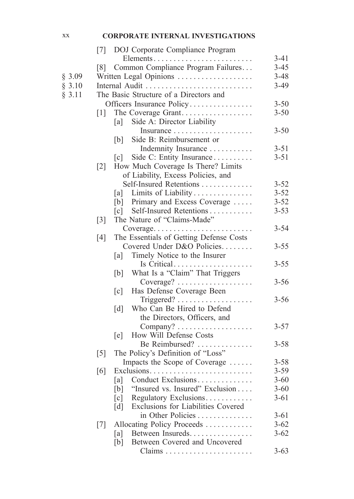#### xx **CORPORATE INTERNAL INVESTIGATIONS**

|        | [7] DOJ Corporate Compliance Program                                  |          |
|--------|-----------------------------------------------------------------------|----------|
|        | Elements                                                              | $3-41$   |
|        | Common Compliance Program Failures<br>$\lceil 8 \rceil$               | $3 - 45$ |
| \$3.09 | Written Legal Opinions                                                | $3 - 48$ |
| § 3.10 | Internal Audit                                                        | $3-49$   |
| § 3.11 | The Basic Structure of a Directors and                                |          |
|        | Officers Insurance Policy                                             | $3 - 50$ |
|        | The Coverage Grant<br>$\lceil 1 \rceil$                               | $3 - 50$ |
|        | Side A: Director Liability<br>[a]                                     |          |
|        |                                                                       | $3 - 50$ |
|        | Side B: Reimbursement or<br> b                                        |          |
|        | Indemnity Insurance                                                   | $3 - 51$ |
|        | Side C: Entity Insurance<br> c                                        | $3 - 51$ |
|        | How Much Coverage Is There? Limits<br>$\lceil 2 \rceil$               |          |
|        | of Liability, Excess Policies, and                                    |          |
|        | Self-Insured Retentions                                               | $3 - 52$ |
|        | Limits of Liability<br> a                                             | $3 - 52$ |
|        | [b] Primary and Excess Coverage                                       | $3 - 52$ |
|        |                                                                       | $3 - 53$ |
|        | The Nature of "Claims-Made"<br>$\lceil 3 \rceil$                      |          |
|        | Coverage                                                              | $3 - 54$ |
|        | The Essentials of Getting Defense Costs<br>[4]                        |          |
|        | Covered Under D&O Policies                                            | $3 - 55$ |
|        | Timely Notice to the Insurer<br>[a]                                   |          |
|        | Is Critical                                                           | $3 - 55$ |
|        | What Is a "Claim" That Triggers<br>[b]                                |          |
|        |                                                                       | $3 - 56$ |
|        | Has Defense Coverage Been<br>$\lceil c \rceil$                        |          |
|        |                                                                       | $3 - 56$ |
|        | Who Can Be Hired to Defend<br>$\lceil d \rceil$                       |          |
|        | the Directors, Officers, and                                          |          |
|        |                                                                       | $3 - 57$ |
|        | How Will Defense Costs<br>[e]                                         |          |
|        | Be Reimbursed?                                                        | $3 - 58$ |
|        | The Policy's Definition of "Loss"<br>$\lceil 5 \rceil$                |          |
|        | Impacts the Scope of Coverage                                         | $3 - 58$ |
|        | [6]<br>$Exclusions. \ldots \ldots \ldots \ldots \ldots \ldots \ldots$ | $3 - 59$ |
|        | Conduct Exclusions<br>[a]                                             | $3 - 60$ |
|        | "Insured vs. Insured" Exclusion<br>[b]                                | $3 - 60$ |
|        | Regulatory Exclusions<br>$\lceil c \rceil$                            | $3 - 61$ |
|        | Exclusions for Liabilities Covered<br>$\lceil d \rceil$               |          |
|        | in Other Policies                                                     | $3 - 61$ |
|        | Allocating Policy Proceeds<br>$[7]$                                   | $3 - 62$ |
|        | Between Insureds.<br>[a]                                              | $3 - 62$ |
|        | Between Covered and Uncovered<br>[b]                                  |          |
|        |                                                                       | $3 - 63$ |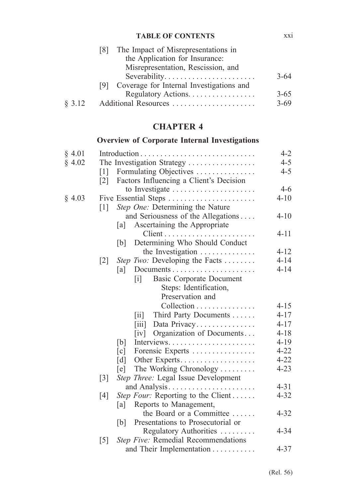|        | The Impact of Misrepresentations in<br>181       |          |
|--------|--------------------------------------------------|----------|
|        | the Application for Insurance:                   |          |
|        | Misrepresentation, Rescission, and               |          |
|        | Severability                                     | $3 - 64$ |
|        | Coverage for Internal Investigations and<br>191. |          |
|        | Regulatory Actions.                              | $3 - 65$ |
| § 3.12 | Additional Resources                             | $3 - 69$ |

# **CHAPTER 4**

# **Overview of Corporate Internal Investigations**

| § 4.01 |                                                                      | $4 - 2$  |
|--------|----------------------------------------------------------------------|----------|
| § 4.02 | The Investigation Strategy                                           | $4 - 5$  |
|        | Formulating Objectives<br>$[1]$                                      | $4 - 5$  |
|        | Factors Influencing a Client's Decision<br>$\lceil 2 \rceil$         |          |
|        |                                                                      | $4 - 6$  |
| § 4.03 | Five Essential Steps                                                 | $4 - 10$ |
|        | Step One: Determining the Nature<br>$\lceil 1 \rceil$                |          |
|        | and Seriousness of the Allegations                                   | $4 - 10$ |
|        | Ascertaining the Appropriate<br>[a]                                  |          |
|        |                                                                      | $4 - 11$ |
|        | Determining Who Should Conduct<br>[b]                                |          |
|        | the Investigation $\dots \dots \dots \dots$                          | $4 - 12$ |
|        | Step Two: Developing the Facts<br>$\lceil 2 \rceil$                  | $4 - 14$ |
|        | [a]                                                                  | $4 - 14$ |
|        | <b>Basic Corporate Document</b><br>$\begin{bmatrix} 1 \end{bmatrix}$ |          |
|        | Steps: Identification,                                               |          |
|        | Preservation and                                                     |          |
|        | Collection                                                           | $4 - 15$ |
|        | Third Party Documents<br>$\left\lceil \text{iii} \right\rceil$       | $4 - 17$ |
|        | Data Privacy<br>$\left[\text{iii}\right]$                            | $4 - 17$ |
|        | Organization of Documents<br>$\lceil iv \rceil$                      | $4 - 18$ |
|        | [b]<br>Interviews                                                    | $4 - 19$ |
|        | Forensic Experts<br>$\lceil c \rceil$                                | $4 - 22$ |
|        | $\lceil d \rceil$<br>Other Experts                                   | $4 - 22$ |
|        | The Working Chronology<br>$[$ e $]$                                  | $4 - 23$ |
|        | Step Three: Legal Issue Development<br>$\lceil 3 \rceil$             |          |
|        | and Analysis                                                         | $4 - 31$ |
|        | <i>Step Four:</i> Reporting to the Client<br>[4]                     | $4 - 32$ |
|        | Reports to Management,<br> a                                         |          |
|        | the Board or a Committee                                             | $4 - 32$ |
|        | Presentations to Prosecutorial or<br>[b]                             |          |
|        | Regulatory Authorities                                               | $4 - 34$ |
|        | Step Five: Remedial Recommendations<br>$\lceil 5 \rceil$             |          |
|        | and Their Implementation                                             | $4 - 37$ |

xxi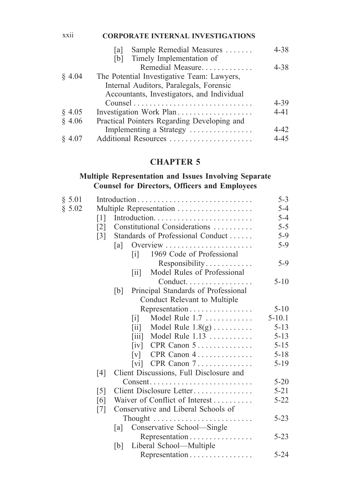#### xxii **CORPORATE INTERNAL INVESTIGATIONS**

|           | Sample Remedial Measures<br>la l            | $4 - 38$ |
|-----------|---------------------------------------------|----------|
|           | Timely Implementation of<br>Ibl             |          |
|           | Remedial Measure                            | $4 - 38$ |
| $§$ 4.04  | The Potential Investigative Team: Lawyers,  |          |
|           | Internal Auditors, Paralegals, Forensic     |          |
|           | Accountants, Investigators, and Individual  |          |
|           |                                             | $4 - 39$ |
| $\S$ 4.05 |                                             | $4 - 41$ |
| \$4.06    | Practical Pointers Regarding Developing and |          |
|           | Implementing a Strategy                     | 4-42     |
| § 4.07    | Additional Resources                        | $4 - 45$ |

## **CHAPTER 5**

## **Multiple Representation and Issues Involving Separate Counsel for Directors, Officers and Employees**

| § 5.01 |                   |                                                             | $5 - 3$    |
|--------|-------------------|-------------------------------------------------------------|------------|
| \$5.02 |                   | Multiple Representation                                     | $5 - 4$    |
|        | $\lceil 1 \rceil$ |                                                             | $5 - 4$    |
|        | $\lceil 2 \rceil$ | Constitutional Considerations                               | $5 - 5$    |
|        | $\lceil 3 \rceil$ | Standards of Professional Conduct                           | $5-9$      |
|        |                   | a                                                           | $5-9$      |
|        |                   | 1969 Code of Professional<br>$\lceil i \rceil$              |            |
|        |                   | Responsibility                                              | $5-9$      |
|        |                   | Model Rules of Professional<br> 11                          |            |
|        |                   | Conduct                                                     | $5 - 10$   |
|        |                   | Principal Standards of Professional<br>[b]                  |            |
|        |                   | Conduct Relevant to Multiple                                |            |
|        |                   | Representation                                              | $5 - 10$   |
|        |                   | Model Rule 1.7<br>$\lceil i \rceil$                         | $5 - 10.1$ |
|        |                   | Model Rule $1.8(g)$<br>$\left[\text{iii}\right]$            | $5 - 13$   |
|        |                   | Model Rule $1.13$<br>$\left[\ddot{\mathrm{iii}}\right]$     | $5 - 13$   |
|        |                   | $CPR$ Canon 5<br>$\lceil iv \rceil$                         | $5 - 15$   |
|        |                   | CPR Canon 4.<br>$\lceil v \rceil$                           | $5 - 18$   |
|        |                   | [vi] CPR Canon $7 \ldots \ldots \ldots$                     | $5-19$     |
|        | [4]               | Client Discussions, Full Disclosure and                     |            |
|        |                   | $Consent. \ldots \ldots \ldots \ldots \ldots \ldots \ldots$ | $5 - 20$   |
|        | $\lceil 5 \rceil$ | Client Disclosure Letter                                    | $5 - 21$   |
|        | [6]               | Waiver of Conflict of Interest                              | $5 - 22$   |
|        | $\lceil 7 \rceil$ | Conservative and Liberal Schools of                         |            |
|        |                   |                                                             | $5 - 23$   |
|        |                   | Conservative School-Single<br>[a]                           |            |
|        |                   | Representation                                              | $5 - 23$   |
|        |                   | Liberal School-Multiple<br> b                               |            |
|        |                   | Representation                                              | $5 - 24$   |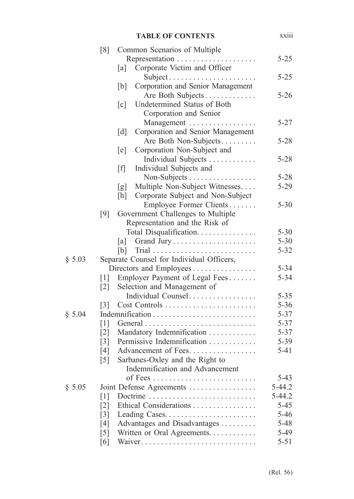|        |                   |                   | <b>TABLE OF CONTENTS</b>                  | <b>XX111</b> |
|--------|-------------------|-------------------|-------------------------------------------|--------------|
|        | [8]               |                   | Common Scenarios of Multiple              |              |
|        |                   |                   |                                           | $5 - 25$     |
|        |                   | [a]               | Corporate Victim and Officer              |              |
|        |                   |                   | Subject                                   | $5 - 25$     |
|        |                   | [b]               | Corporation and Senior Management         |              |
|        |                   |                   | Are Both Subjects                         | $5 - 26$     |
|        |                   | $\lceil c \rceil$ | Undetermined Status of Both               |              |
|        |                   |                   | Corporation and Senior                    |              |
|        |                   |                   | Management                                | $5 - 27$     |
|        |                   | $\lceil d \rceil$ | Corporation and Senior Management         |              |
|        |                   |                   | Are Both Non-Subjects                     | $5 - 28$     |
|        |                   | [e]               | Corporation Non-Subject and               |              |
|        |                   |                   | Individual Subjects                       | $5 - 28$     |
|        |                   | [f]               | Individual Subjects and                   |              |
|        |                   |                   | Non-Subjects                              | $5 - 28$     |
|        |                   | [g]               | Multiple Non-Subject Witnesses            | $5-29$       |
|        |                   | [h]               | Corporate Subject and Non-Subject         |              |
|        |                   |                   | Employee Former Clients                   | $5 - 30$     |
|        | [9]               |                   | Government Challenges to Multiple         |              |
|        |                   |                   | Representation and the Risk of            |              |
|        |                   |                   | Total Disqualification.                   | $5 - 30$     |
|        |                   | [a]               |                                           | $5 - 30$     |
|        |                   | [b]               |                                           | $5 - 32$     |
| § 5.03 |                   |                   | Separate Counsel for Individual Officers, |              |
|        |                   |                   | Directors and Employees                   | $5 - 34$     |
|        | $\lceil 1 \rceil$ |                   | Employer Payment of Legal Fees            | $5 - 34$     |
|        | $\lceil 2 \rceil$ |                   | Selection and Management of               |              |
|        |                   |                   | Individual Counsel                        | $5 - 35$     |
|        | $\lceil 3 \rceil$ |                   | Cost Controls                             | $5 - 36$     |
| \$5.04 |                   |                   |                                           | $5 - 37$     |
|        | $\lceil 1 \rceil$ |                   |                                           | $5 - 37$     |
|        | $\lceil 2 \rceil$ |                   | Mandatory Indemnification                 | $5 - 37$     |
|        | $\lceil 3 \rceil$ |                   | Permissive Indemnification                | $5 - 39$     |
|        | [4]               |                   | Advancement of Fees.                      | $5 - 41$     |
|        | $\lceil 5 \rceil$ |                   | Sarbanes-Oxley and the Right to           |              |
|        |                   |                   | Indemnification and Advancement           |              |
|        |                   |                   |                                           | $5-43$       |
| § 5.05 |                   |                   | Joint Defense Agreements                  | $5-44.2$     |
|        | $\lceil 1 \rceil$ |                   | Doctrine                                  | $5 - 44.2$   |
|        | $[2]$             |                   | Ethical Considerations                    | $5 - 45$     |
|        | $\lceil 3 \rceil$ |                   |                                           | $5 - 46$     |
|        | [4]               |                   | Advantages and Disadvantages              | 5-48         |
|        | $\lceil 5 \rceil$ |                   | Written or Oral Agreements.               | 5-49         |
|        | [6]               |                   |                                           | $5 - 51$     |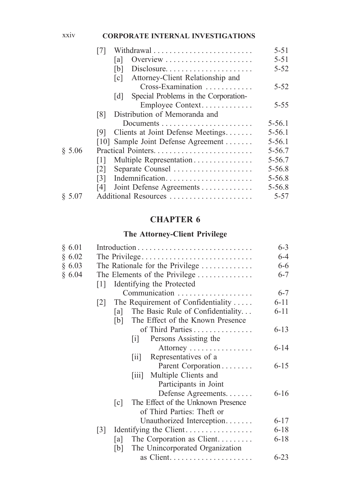#### xxiv **CORPORATE INTERNAL INVESTIGATIONS**

|        |                                                       | $5 - 51$   |
|--------|-------------------------------------------------------|------------|
|        | Overview<br>lal                                       | $5 - 51$   |
|        | Disclosure<br>[b]                                     | $5 - 52$   |
|        | Attorney-Client Relationship and<br>$\lceil c \rceil$ |            |
|        | Cross-Examination                                     | $5 - 52$   |
|        | Special Problems in the Corporation-<br>[d]           |            |
|        | Employee Context                                      | $5 - 55$   |
|        | Distribution of Memoranda and<br>[8]                  |            |
|        |                                                       | $5 - 56.1$ |
|        | Clients at Joint Defense Meetings<br>191              | $5 - 56.1$ |
|        | [10] Sample Joint Defense Agreement                   | $5 - 56.1$ |
| \$5.06 |                                                       | $5 - 56.7$ |
|        | Multiple Representation<br>111                        | $5 - 56.7$ |
|        | Separate Counsel<br> 2                                | $5 - 56.8$ |
|        | Indemnification<br>131                                | $5 - 56.8$ |
|        | Joint Defense Agreements<br>[4]                       | $5 - 56.8$ |
| \$5.07 | Additional Resources                                  | 5-57       |

# **CHAPTER 6**

# **The Attorney-Client Privilege**

| § 6.01 | Introduction                                            | $6 - 3$  |
|--------|---------------------------------------------------------|----------|
| § 6.02 |                                                         | $6 - 4$  |
| § 6.03 | The Rationale for the Privilege                         | $6 - 6$  |
| § 6.04 | The Elements of the Privilege                           | $6 - 7$  |
|        | Identifying the Protected<br> 1                         |          |
|        | Communication                                           | $6 - 7$  |
|        | The Requirement of Confidentiality<br> 2                | $6 - 11$ |
|        | The Basic Rule of Confidentiality<br> a                 | $6 - 11$ |
|        | The Effect of the Known Presence<br> b                  |          |
|        | of Third Parties                                        | $6 - 13$ |
|        | Persons Assisting the<br> 1                             |          |
|        | Attorney                                                | $6 - 14$ |
|        | Representatives of a<br>$\vert$ 11 $\vert$              |          |
|        | Parent Corporation                                      | $6 - 15$ |
|        | [iii] Multiple Clients and                              |          |
|        | Participants in Joint                                   |          |
|        | Defense Agreements                                      | $6 - 16$ |
|        | The Effect of the Unknown Presence<br>$\lceil c \rceil$ |          |
|        | of Third Parties: Theft or                              |          |
|        | Unauthorized Interception                               | $6 - 17$ |
|        | Identifying the Client<br>$\lceil 3 \rceil$             | $6 - 18$ |
|        | The Corporation as Client<br> a                         | $6 - 18$ |
|        | The Unincorporated Organization<br> b                   |          |
|        |                                                         | $6 - 23$ |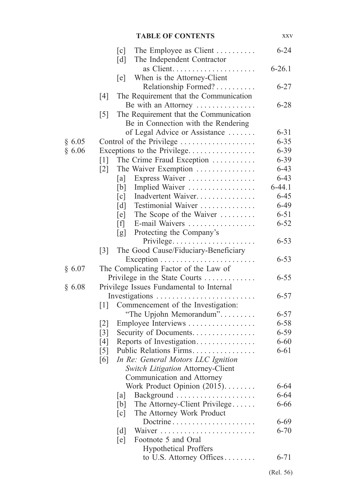|        | The Employee as Client<br>$\lceil c \rceil$<br>The Independent Contractor<br>$\lceil d \rceil$ | $6 - 24$         |
|--------|------------------------------------------------------------------------------------------------|------------------|
|        |                                                                                                | $6 - 26.1$       |
|        | When is the Attorney-Client<br>[e]                                                             |                  |
|        | Relationship Formed?                                                                           | $6 - 27$         |
|        | The Requirement that the Communication<br>[4]                                                  |                  |
|        | Be with an Attorney                                                                            | $6 - 28$         |
|        | The Requirement that the Communication<br>$\lceil 5 \rceil$                                    |                  |
|        | Be in Connection with the Rendering                                                            |                  |
|        | of Legal Advice or Assistance                                                                  | $6 - 31$         |
| § 6.05 | Control of the Privilege                                                                       | $6 - 35$         |
| § 6.06 | Exceptions to the Privilege                                                                    | $6 - 39$         |
|        | The Crime Fraud Exception<br>$\lceil 1 \rceil$                                                 | $6 - 39$         |
|        | $\lceil 2 \rceil$<br>The Waiver Exemption                                                      | $6 - 43$         |
|        | Express Waiver<br>[a]                                                                          | $6 - 43$         |
|        | Implied Waiver<br>[b]                                                                          | $6-44.1$         |
|        | Inadvertent Waiver.<br>[c]                                                                     | $6 - 45$         |
|        | Testimonial Waiver<br>$\lceil d \rceil$                                                        | $6 - 49$         |
|        | The Scope of the Waiver<br>[e]                                                                 | $6 - 51$         |
|        | E-mail Waivers<br>[f]                                                                          | $6 - 52$         |
|        | Protecting the Company's<br>[g]                                                                |                  |
|        | Privilege                                                                                      | $6 - 53$         |
|        | The Good Cause/Fiduciary-Beneficiary<br>$\lceil 3 \rceil$                                      |                  |
|        |                                                                                                | $6 - 53$         |
| § 6.07 | The Complicating Factor of the Law of                                                          |                  |
|        | Privilege in the State Courts                                                                  | $6 - 55$         |
| § 6.08 | Privilege Issues Fundamental to Internal                                                       |                  |
|        |                                                                                                | $6 - 57$         |
|        | [1]<br>Commencement of the Investigation:                                                      |                  |
|        | "The Upjohn Memorandum"                                                                        | $6 - 57$         |
|        | Employee Interviews<br>$\lceil 2 \rceil$                                                       | $6 - 58$         |
|        | Security of Documents<br>$\lceil 3 \rceil$                                                     | $6 - 59$         |
|        | Reports of Investigation<br>[4]                                                                | $6 - 60$         |
|        | Public Relations Firms<br>$\lceil 5 \rceil$                                                    | $6 - 61$         |
|        | In Re: General Motors LLC Ignition<br>[6]                                                      |                  |
|        | Switch Litigation Attorney-Client                                                              |                  |
|        | Communication and Attorney                                                                     |                  |
|        | Work Product Opinion (2015).                                                                   | 6-64<br>$6 - 64$ |
|        | a <br>The Attorney-Client Privilege<br>[b]                                                     | 6-66             |
|        | The Attorney Work Product<br>[c]                                                               |                  |
|        | Doctrine                                                                                       | $6 - 69$         |
|        | $\lceil d \rceil$                                                                              | $6 - 70$         |
|        | Footnote 5 and Oral<br>[e]                                                                     |                  |
|        | <b>Hypothetical Proffers</b>                                                                   |                  |
|        | to U.S. Attorney Offices                                                                       | $6 - 71$         |
|        |                                                                                                |                  |

xxv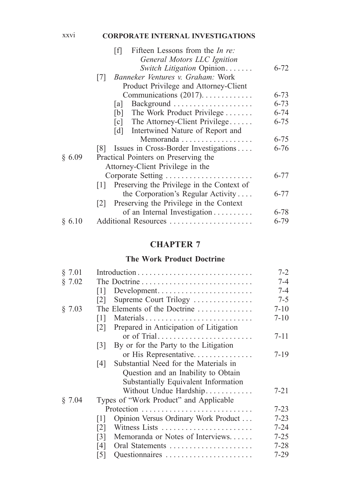#### xxvi **CORPORATE INTERNAL INVESTIGATIONS**

|        | Fifteen Lessons from the <i>In re</i> :<br>ſfΤ |          |
|--------|------------------------------------------------|----------|
|        | General Motors LLC Ignition                    |          |
|        | Switch Litigation Opinion                      | $6 - 72$ |
|        | Banneker Ventures v. Graham: Work<br> 7        |          |
|        | Product Privilege and Attorney-Client          |          |
|        | Communications $(2017)$                        | $6 - 73$ |
|        | a                                              | $6 - 73$ |
|        | The Work Product Privilege<br>[b]              | $6 - 74$ |
|        | $[c]$ The Attorney-Client Privilege            | $6 - 75$ |
|        | [d] Intertwined Nature of Report and           |          |
|        | Memoranda                                      | $6 - 75$ |
|        | [8] Issues in Cross-Border Investigations      | $6 - 76$ |
| § 6.09 | Practical Pointers on Preserving the           |          |
|        | Attorney-Client Privilege in the               |          |
|        | Corporate Setting                              | $6 - 77$ |
|        | [1] Preserving the Privilege in the Context of |          |
|        | the Corporation's Regular Activity             | 6-77     |
|        | Preserving the Privilege in the Context<br> 2  |          |
|        | of an Internal Investigation                   | $6 - 78$ |
| § 6.10 | Additional Resources                           | 6-79     |
|        |                                                |          |

# **CHAPTER 7**

#### **The Work Product Doctrine**

| § 7.01 |                                                            | $7 - 2$  |
|--------|------------------------------------------------------------|----------|
| § 7.02 | The Doctrine                                               | 7-4      |
|        | Development<br>111                                         | $7 - 4$  |
|        | Supreme Court Trilogy<br> 2                                | $7 - 5$  |
| § 7.03 | The Elements of the Doctrine                               | $7 - 10$ |
|        | Materials<br>$\lceil 1 \rceil$                             | $7 - 10$ |
|        | Prepared in Anticipation of Litigation<br> 2               |          |
|        | or of Trial                                                | $7 - 11$ |
|        | By or for the Party to the Litigation<br> 3                |          |
|        | or His Representative                                      | $7-19$   |
|        | Substantial Need for the Materials in<br>$\lceil 4 \rceil$ |          |
|        | Question and an Inability to Obtain                        |          |
|        | Substantially Equivalent Information                       |          |
|        | Without Undue Hardship                                     | $7 - 21$ |
| § 7.04 | Types of "Work Product" and Applicable                     |          |
|        |                                                            | $7 - 23$ |
|        | Opinion Versus Ordinary Work Product<br>111                | $7 - 23$ |
|        | Witness Lists<br>121                                       | $7 - 24$ |
|        | Memoranda or Notes of Interviews<br>[3]                    | $7 - 25$ |
|        | Oral Statements<br>14 I                                    | $7 - 28$ |
|        | $\lceil 5 \rceil$<br>Questionnaires                        | $7-29$   |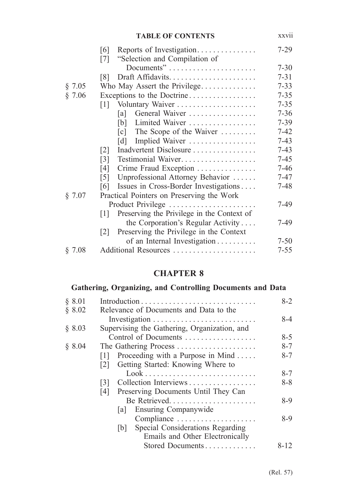|        | <b>TABLE OF CONTENTS</b>                                        | XXVII    |
|--------|-----------------------------------------------------------------|----------|
|        | Reports of Investigation<br>$\lceil 6 \rceil$                   | $7 - 29$ |
|        | "Selection and Compilation of<br>$\lceil 7 \rceil$              |          |
|        |                                                                 | $7 - 30$ |
|        | Draft Affidavits<br>$\lceil 8 \rceil$                           | $7 - 31$ |
| § 7.05 | Who May Assert the Privilege                                    | $7 - 33$ |
| § 7.06 | Exceptions to the Doctrine                                      | $7 - 35$ |
|        | Voluntary Waiver<br>$\lceil 1 \rceil$                           | $7 - 35$ |
|        | General Waiver<br>[a]                                           | $7 - 36$ |
|        | Limited Waiver<br>[b]                                           | $7 - 39$ |
|        | The Scope of the Waiver<br>$\lceil c \rceil$                    | $7 - 42$ |
|        | Implied Waiver<br>$\lceil d \rceil$                             | $7-43$   |
|        | Inadvertent Disclosure<br>$\lceil 2 \rceil$                     | $7 - 43$ |
|        | Testimonial Waiver<br>$\lceil 3 \rceil$                         | $7 - 45$ |
|        | Crime Fraud Exception<br>[4]                                    | $7 - 46$ |
|        | Unprofessional Attorney Behavior<br>$\lceil 5 \rceil$           | $7 - 47$ |
|        | Issues in Cross-Border Investigations<br> 6                     | $7 - 48$ |
| § 7.07 | Practical Pointers on Preserving the Work                       |          |
|        | Product Privilege                                               | 7-49     |
|        | Preserving the Privilege in the Context of<br>$\lceil 1 \rceil$ |          |
|        | the Corporation's Regular Activity                              | 7-49     |
|        | Preserving the Privilege in the Context<br> 2                   |          |
|        | of an Internal Investigation                                    | $7 - 50$ |
| § 7.08 | Additional Resources                                            | $7 - 55$ |

# **CHAPTER 8**

# **Gathering, Organizing, and Controlling Documents and Data**

| \$8.01 |                                                                    | $8 - 2$  |
|--------|--------------------------------------------------------------------|----------|
| § 8.02 | Relevance of Documents and Data to the                             |          |
|        |                                                                    | $8 - 4$  |
| § 8.03 | Supervising the Gathering, Organization, and                       |          |
|        | Control of Documents                                               | $8 - 5$  |
| § 8.04 |                                                                    | $8 - 7$  |
|        | Proceeding with a Purpose in Mind<br>$\lceil 1 \rceil$             | $8 - 7$  |
|        | [2] Getting Started: Knowing Where to                              |          |
|        | $Look \dots \dots \dots \dots \dots \dots \dots \dots \dots \dots$ | $8 - 7$  |
|        | Collection Interviews<br>131                                       | $8 - 8$  |
|        | Preserving Documents Until They Can<br>$[4]$                       |          |
|        | Be Retrieved                                                       | $8-9$    |
|        | [a] Ensuring Companywide                                           |          |
|        | Compliance                                                         | $8-9$    |
|        | Special Considerations Regarding<br> b                             |          |
|        | Emails and Other Electronically                                    |          |
|        | Stored Documents                                                   | $8 - 12$ |
|        |                                                                    |          |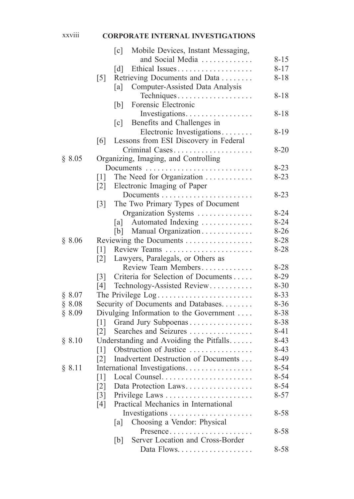# xxviii **CORPORATE INTERNAL INVESTIGATIONS**

|        | $\lceil c \rceil$<br>Mobile Devices, Instant Messaging,   |          |
|--------|-----------------------------------------------------------|----------|
|        | and Social Media                                          | $8 - 15$ |
|        | $\lceil d \rceil$<br>Ethical Issues                       | $8 - 17$ |
|        | $\lceil 5 \rceil$<br>Retrieving Documents and Data        | $8 - 18$ |
|        | Computer-Assisted Data Analysis<br>[a]                    |          |
|        | Techniques                                                | $8 - 18$ |
|        | Forensic Electronic<br>[b]                                |          |
|        | Investigations                                            | $8 - 18$ |
|        | Benefits and Challenges in<br>$\lceil c \rceil$           |          |
|        | Electronic Investigations                                 | 8-19     |
|        | Lessons from ESI Discovery in Federal<br>[6]              |          |
|        | Criminal Cases                                            | $8 - 20$ |
| § 8.05 | Organizing, Imaging, and Controlling                      |          |
|        |                                                           | $8 - 23$ |
|        | $\lceil 1 \rceil$<br>The Need for Organization            | $8 - 23$ |
|        | $\lceil 2 \rceil$<br>Electronic Imaging of Paper          |          |
|        |                                                           | $8 - 23$ |
|        | The Two Primary Types of Document<br>$\lceil 3 \rceil$    |          |
|        | Organization Systems                                      | $8 - 24$ |
|        | Automated Indexing<br>[a]                                 | $8 - 24$ |
|        | Manual Organization<br>[b]                                | $8 - 26$ |
| § 8.06 | Reviewing the Documents                                   | 8-28     |
|        | Review Teams<br>$\lceil 1 \rceil$                         | $8 - 28$ |
|        | Lawyers, Paralegals, or Others as<br>$\lceil 2 \rceil$    |          |
|        | Review Team Members                                       | $8 - 28$ |
|        | Criteria for Selection of Documents<br>$\lceil 3 \rceil$  | $8 - 29$ |
|        | [4]<br>Technology-Assisted Review                         | $8 - 30$ |
| § 8.07 | The Privilege Log                                         | $8 - 33$ |
| \$8.08 | Security of Documents and Databases                       | $8 - 36$ |
| § 8.09 | Divulging Information to the Government                   | 8-38     |
|        | Grand Jury Subpoenas<br>$\lceil 1 \rceil$                 | 8-38     |
|        | Searches and Seizures<br>$\lceil 2 \rceil$                | $8 - 41$ |
| § 8.10 | Understanding and Avoiding the Pitfalls                   | $8-43$   |
|        | Obstruction of Justice<br>$\lceil 1 \rceil$               | $8-43$   |
|        | Inadvertent Destruction of Documents<br>$\lceil 2 \rceil$ | 8-49     |
| § 8.11 | International Investigations                              | $8 - 54$ |
|        | $\lceil 1 \rceil$<br>Local Counsel                        | $8 - 54$ |
|        | Data Protection Laws<br>$\lceil 2 \rceil$                 | $8 - 54$ |
|        | Privilege Laws<br>$\lceil 3 \rceil$                       | $8 - 57$ |
|        | Practical Mechanics in International<br>[4]               |          |
|        |                                                           | $8 - 58$ |
|        | Choosing a Vendor: Physical<br>[a]                        |          |
|        | Presence                                                  | $8 - 58$ |
|        | Server Location and Cross-Border<br>[b]                   |          |
|        |                                                           | $8 - 58$ |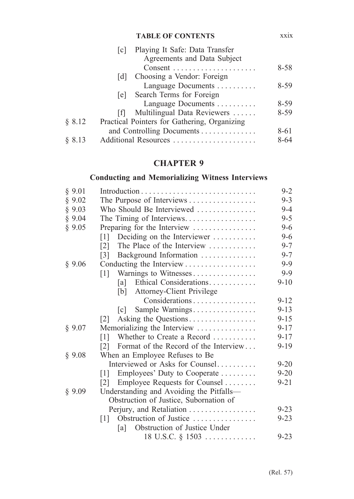|        | <b>TABLE OF CONTENTS</b>                     | <b>XX1X</b> |
|--------|----------------------------------------------|-------------|
|        | Playing It Safe: Data Transfer<br> c         |             |
|        | Agreements and Data Subject                  |             |
|        |                                              | $8 - 58$    |
|        | Choosing a Vendor: Foreign<br> d             |             |
|        | Language Documents                           | $8 - 59$    |
|        | Search Terms for Foreign<br> e               |             |
|        | Language Documents                           | $8 - 59$    |
|        | Multilingual Data Reviewers<br>- Ifi         | $8 - 59$    |
| § 8.12 | Practical Pointers for Gathering, Organizing |             |
|        | and Controlling Documents                    | 8-61        |
| 8.13   | Additional Resources                         | 8-64        |

# **CHAPTER 9**

# **Conducting and Memorializing Witness Interviews**

| § 9.01 |                                                            | $9-2$    |
|--------|------------------------------------------------------------|----------|
| § 9.02 | The Purpose of Interviews                                  | $9 - 3$  |
| § 9.03 | Who Should Be Interviewed                                  | $9 - 4$  |
| § 9.04 | The Timing of Interviews                                   | $9 - 5$  |
| § 9.05 | Preparing for the Interview                                | $9-6$    |
|        | Deciding on the Interviewer<br>$\lceil 1 \rceil$           | $9 - 6$  |
|        | The Place of the Interview<br>$\lceil 2 \rceil$            | $9 - 7$  |
|        | Background Information<br>$\lceil 3 \rceil$                | $9 - 7$  |
| § 9.06 | Conducting the Interview                                   | $9 - 9$  |
|        | Warnings to Witnesses<br>$\lceil 1 \rceil$                 | $9 - 9$  |
|        | Ethical Considerations<br> a                               | $9 - 10$ |
|        | <b>Attorney-Client Privilege</b><br>[b]                    |          |
|        | Considerations                                             | $9 - 12$ |
|        | Sample Warnings<br>$\lceil c \rceil$                       | $9 - 13$ |
|        | Asking the Questions<br> 2                                 | $9 - 15$ |
| § 9.07 | Memorializing the Interview                                | $9 - 17$ |
|        | Whether to Create a Record<br>$\lceil 1 \rceil$            | $9 - 17$ |
|        | Format of the Record of the Interview<br>$\lceil 2 \rceil$ | $9-19$   |
| § 9.08 | When an Employee Refuses to Be                             |          |
|        | Interviewed or Asks for Counsel                            | $9 - 20$ |
|        | Employees' Duty to Cooperate<br>$\lceil 1 \rceil$          | $9 - 20$ |
|        | Employee Requests for Counsel<br> 2                        | $9 - 21$ |
| § 9.09 | Understanding and Avoiding the Pitfalls-                   |          |
|        | Obstruction of Justice, Subornation of                     |          |
|        | Perjury, and Retaliation                                   | $9 - 23$ |
|        | Obstruction of Justice<br>$\lceil 1 \rceil$                | $9 - 23$ |
|        | Obstruction of Justice Under<br>la l                       |          |
|        |                                                            | $9 - 23$ |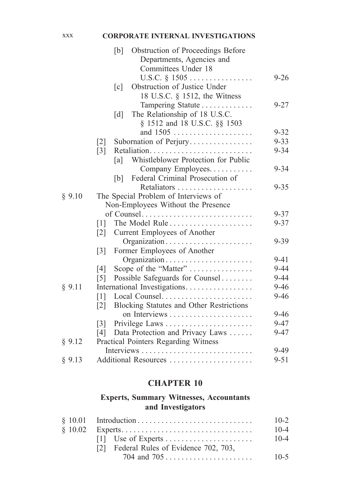#### xxx **CORPORATE INTERNAL INVESTIGATIONS**

|        | Obstruction of Proceedings Before<br>[b]                      |          |
|--------|---------------------------------------------------------------|----------|
|        | Departments, Agencies and                                     |          |
|        | Committees Under 18                                           |          |
|        | U.S.C. § 1505                                                 | $9 - 26$ |
|        | Obstruction of Justice Under<br>$\lceil c \rceil$             |          |
|        | 18 U.S.C. § 1512, the Witness                                 |          |
|        | Tampering Statute                                             | $9 - 27$ |
|        | The Relationship of 18 U.S.C.<br>$\lceil d \rceil$            |          |
|        | § 1512 and 18 U.S.C. §§ 1503                                  |          |
|        |                                                               | $9 - 32$ |
|        | Subornation of Perjury<br>$[2]$                               | $9 - 33$ |
|        | $\lceil 3 \rceil$                                             | $9 - 34$ |
|        | Whistleblower Protection for Public<br>[a]                    |          |
|        | Company Employees.                                            | $9 - 34$ |
|        | Federal Criminal Prosecution of<br>[b]                        |          |
|        | Retaliators                                                   | $9 - 35$ |
| § 9.10 | The Special Problem of Interviews of                          |          |
|        | Non-Employees Without the Presence                            |          |
|        |                                                               | $9 - 37$ |
|        | The Model Rule<br>$\lceil 1 \rceil$                           | $9 - 37$ |
|        | Current Employees of Another<br>$\lceil 2 \rceil$             |          |
|        | Organization                                                  | $9 - 39$ |
|        | Former Employees of Another<br>$\lceil 3 \rceil$              |          |
|        | Organization                                                  | $9 - 41$ |
|        | Scope of the "Matter"<br>[4]                                  | $9 - 44$ |
|        | Possible Safeguards for Counsel<br>$\lceil 5 \rceil$          | $9 - 44$ |
| § 9.11 | International Investigations                                  | $9 - 46$ |
|        | Local Counsel<br>$\lceil 1 \rceil$                            | $9 - 46$ |
|        | Blocking Statutes and Other Restrictions<br>$\lceil 2 \rceil$ |          |
|        |                                                               | $9 - 46$ |
|        | $\lceil 3 \rceil$                                             | $9 - 47$ |
|        | Data Protection and Privacy Laws<br>[4]                       | $9 - 47$ |
| § 9.12 | Practical Pointers Regarding Witness                          |          |
|        |                                                               | $9-49$   |
| § 9.13 | Additional Resources                                          | $9 - 51$ |

# **CHAPTER 10**

## **Experts, Summary Witnesses, Accountants and Investigators**

|                                         | $10-2$   |
|-----------------------------------------|----------|
|                                         | $10 - 4$ |
|                                         | $10 - 4$ |
| [2] Federal Rules of Evidence 702, 703, |          |
|                                         | $10-5$   |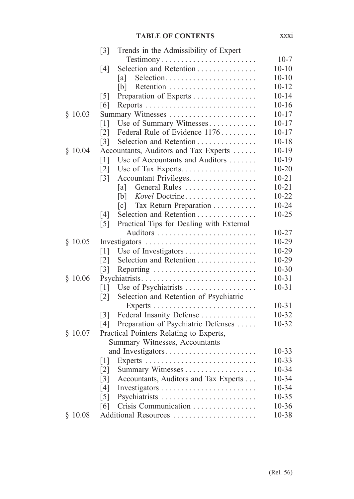|         | $\lceil 3 \rceil$<br>Trends in the Admissibility of Expert    |           |
|---------|---------------------------------------------------------------|-----------|
|         | Testimony                                                     | $10-7$    |
|         | Selection and Retention<br>[4]                                | $10 - 10$ |
|         | Selection<br> a                                               | $10 - 10$ |
|         | [b]                                                           | $10 - 12$ |
|         | Preparation of Experts<br>$\lceil 5 \rceil$                   | $10 - 14$ |
|         | [6]                                                           | $10 - 16$ |
| \$10.03 | Summary Witnesses                                             | $10 - 17$ |
|         | Use of Summary Witnesses<br>$\lceil 1 \rceil$                 | $10 - 17$ |
|         | Federal Rule of Evidence 1176<br>$\lceil 2 \rceil$            | $10 - 17$ |
|         | Selection and Retention<br>$\lceil 3 \rceil$                  | $10 - 18$ |
| \$10.04 | Accountants, Auditors and Tax Experts                         | $10 - 19$ |
|         | $\lceil 1 \rceil$<br>Use of Accountants and Auditors          | $10-19$   |
|         | $\lceil 2 \rceil$<br>Use of Tax Experts                       | $10 - 20$ |
|         | $\lceil 3 \rceil$<br>Accountant Privileges.                   | $10 - 21$ |
|         | General Rules<br> a                                           | $10 - 21$ |
|         | Kovel Doctrine<br>[b]                                         | $10 - 22$ |
|         | Tax Return Preparation<br>$\lceil c \rceil$                   | $10 - 24$ |
|         | Selection and Retention<br>[4]                                | $10 - 25$ |
|         | Practical Tips for Dealing with External<br>$\lceil 5 \rceil$ |           |
|         |                                                               | $10 - 27$ |
| \$10.05 | Investigators                                                 | 10-29     |
|         | [1]                                                           | 10-29     |
|         | $\lceil 2 \rceil$<br>Selection and Retention                  | $10-29$   |
|         | $\lceil 3 \rceil$<br>Reporting                                | $10 - 30$ |
| \$10.06 | Psychiatrists                                                 | $10 - 31$ |
|         | Use of Psychiatrists<br>$\lceil 1 \rceil$                     | $10 - 31$ |
|         | Selection and Retention of Psychiatric<br>$\lceil 2 \rceil$   |           |
|         |                                                               | $10 - 31$ |
|         | Federal Insanity Defense<br>$\lceil 3 \rceil$                 | $10 - 32$ |
|         | Preparation of Psychiatric Defenses<br>[4]                    | $10 - 32$ |
| \$10.07 | Practical Pointers Relating to Experts,                       |           |
|         | Summary Witnesses, Accountants                                |           |
|         | and Investigators                                             | $10 - 33$ |
|         | $\lceil 1 \rceil$                                             | $10 - 33$ |
|         | $\lceil 2 \rceil$                                             | 10-34     |
|         | Accountants, Auditors and Tax Experts<br>$\lceil 3 \rceil$    | $10 - 34$ |
|         | [4]                                                           | 10-34     |
|         | $\lceil 5 \rceil$<br>Psychiatrists                            | $10 - 35$ |
|         | Crisis Communication<br>[6]                                   | $10 - 36$ |
| \$10.08 | Additional Resources                                          | 10-38     |

xxxi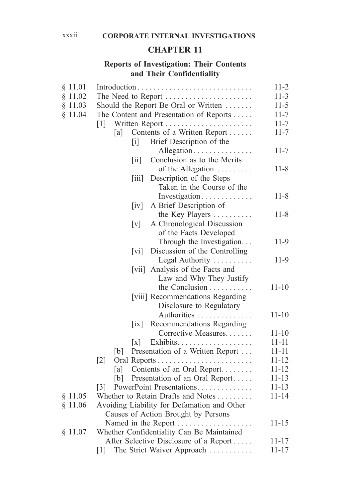## **CHAPTER 11**

## **Reports of Investigation: Their Contents and Their Confidentiality**

| § 11.01 |                                                                               | $11 - 2$  |
|---------|-------------------------------------------------------------------------------|-----------|
| § 11.02 | The Need to Report                                                            | $11-3$    |
| § 11.03 | Should the Report Be Oral or Written                                          | $11-5$    |
| \$11.04 | The Content and Presentation of Reports                                       | $11 - 7$  |
|         | $\lceil 1 \rceil$<br>Written Report                                           | $11 - 7$  |
|         | Contents of a Written Report<br>[a]                                           | $11 - 7$  |
|         | Brief Description of the<br>$\lceil i \rceil$                                 |           |
|         | Allegation                                                                    | $11 - 7$  |
|         | Conclusion as to the Merits<br>$\left\lceil \text{i} \mathbf{i} \right\rceil$ |           |
|         | of the Allegation                                                             | $11 - 8$  |
|         | Description of the Steps<br>$\left\lceil \text{iii} \right\rceil$             |           |
|         | Taken in the Course of the                                                    |           |
|         | Investigation                                                                 | $11 - 8$  |
|         | $\left[iv\right]$<br>A Brief Description of                                   |           |
|         | the Key Players                                                               | $11 - 8$  |
|         | A Chronological Discussion<br>$\lceil v \rceil$                               |           |
|         | of the Facts Developed                                                        |           |
|         | Through the Investigation                                                     | $11-9$    |
|         | Discussion of the Controlling<br>$\lceil \mathrm{vi} \rceil$                  |           |
|         | Legal Authority                                                               | 11-9      |
|         | Analysis of the Facts and<br> V11                                             |           |
|         | Law and Why They Justify                                                      |           |
|         | the Conclusion                                                                | $11 - 10$ |
|         | [viii] Recommendations Regarding                                              |           |
|         | Disclosure to Regulatory                                                      |           |
|         | Authorities                                                                   | $11 - 10$ |
|         | Recommendations Regarding<br>$\left[ \text{ix} \right]$                       |           |
|         | Corrective Measures                                                           | $11 - 10$ |
|         | $\lceil x \rceil$                                                             | $11 - 11$ |
|         | Presentation of a Written Report<br>[b]                                       | $11 - 11$ |
|         | $\lceil 2 \rceil$                                                             | $11 - 12$ |
|         | Contents of an Oral Report<br> a                                              | $11 - 12$ |
|         | Presentation of an Oral Report<br>[b]                                         | $11 - 13$ |
|         | PowerPoint Presentations<br>$\lceil 3 \rceil$                                 | $11 - 13$ |
| § 11.05 | Whether to Retain Drafts and Notes                                            | $11 - 14$ |
| \$11.06 | Avoiding Liability for Defamation and Other                                   |           |
|         | Causes of Action Brought by Persons                                           |           |
|         | Named in the Report                                                           | $11 - 15$ |
| § 11.07 | Whether Confidentiality Can Be Maintained                                     |           |
|         | After Selective Disclosure of a Report                                        | $11 - 17$ |
|         | [1]<br>The Strict Waiver Approach                                             | $11 - 17$ |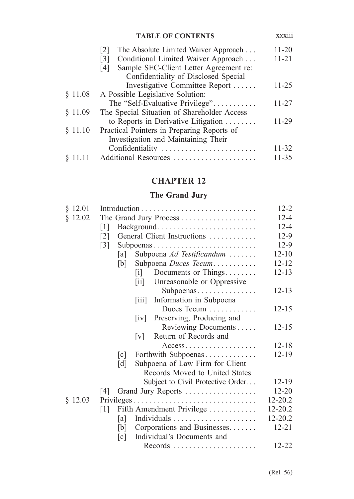| <b>TABLE OF CONTENTS</b>                                 | <b>XXX111</b>   |
|----------------------------------------------------------|-----------------|
| The Absolute Limited Waiver Approach<br> 2               | $11 - 20$       |
| Conditional Limited Waiver Approach<br>$\lceil 3 \rceil$ | $11 - 21$       |
| Sample SEC-Client Letter Agreement re:<br>[4]            |                 |
| Confidentiality of Disclosed Special                     |                 |
| Investigative Committee Report                           | $11 - 25$       |
| A Possible Legislative Solution:                         |                 |
| The "Self-Evaluative Privilege"                          | 11-27           |
| The Special Situation of Shareholder Access              |                 |
| to Reports in Derivative Litigation                      | 11-29           |
| Practical Pointers in Preparing Reports of               |                 |
| Investigation and Maintaining Their                      |                 |
|                                                          | 11-32           |
| Additional Resources                                     | 11-35           |
|                                                          | Confidentiality |

# **CHAPTER 12**

#### **The Grand Jury**

|                                                      | $12 - 2$                                                                                                                                                                                                                                                                                                                                                                                         |
|------------------------------------------------------|--------------------------------------------------------------------------------------------------------------------------------------------------------------------------------------------------------------------------------------------------------------------------------------------------------------------------------------------------------------------------------------------------|
|                                                      | $12 - 4$                                                                                                                                                                                                                                                                                                                                                                                         |
| $\lceil 1 \rceil$                                    | $12 - 4$                                                                                                                                                                                                                                                                                                                                                                                         |
| $\lceil 2 \rceil$                                    | $12-9$                                                                                                                                                                                                                                                                                                                                                                                           |
| $\lceil 3 \rceil$                                    | $12-9$                                                                                                                                                                                                                                                                                                                                                                                           |
| [a]                                                  | $12 - 10$                                                                                                                                                                                                                                                                                                                                                                                        |
|                                                      | $12 - 12$                                                                                                                                                                                                                                                                                                                                                                                        |
| 1                                                    | $12 - 13$                                                                                                                                                                                                                                                                                                                                                                                        |
| $\overline{\mathbf{u}}$                              |                                                                                                                                                                                                                                                                                                                                                                                                  |
|                                                      | $12 - 13$                                                                                                                                                                                                                                                                                                                                                                                        |
| $\left\lceil \text{iii} \right\rceil$                |                                                                                                                                                                                                                                                                                                                                                                                                  |
|                                                      | $12 - 15$                                                                                                                                                                                                                                                                                                                                                                                        |
| $\lceil iv \rceil$                                   |                                                                                                                                                                                                                                                                                                                                                                                                  |
| Reviewing Documents                                  | $12 - 15$                                                                                                                                                                                                                                                                                                                                                                                        |
| Return of Records and<br>$\lceil v \rceil$           |                                                                                                                                                                                                                                                                                                                                                                                                  |
| $Access$                                             | $12 - 18$                                                                                                                                                                                                                                                                                                                                                                                        |
| Forthwith Subpoenas<br>$\lceil c \rceil$             | $12 - 19$                                                                                                                                                                                                                                                                                                                                                                                        |
| Subpoena of Law Firm for Client<br>$\lceil d \rceil$ |                                                                                                                                                                                                                                                                                                                                                                                                  |
| Records Moved to United States                       |                                                                                                                                                                                                                                                                                                                                                                                                  |
| Subject to Civil Protective Order                    | $12 - 19$                                                                                                                                                                                                                                                                                                                                                                                        |
| 4                                                    | $12 - 20$                                                                                                                                                                                                                                                                                                                                                                                        |
|                                                      | 12-20.2                                                                                                                                                                                                                                                                                                                                                                                          |
| $\lceil 1 \rceil$                                    | 12-20.2                                                                                                                                                                                                                                                                                                                                                                                          |
| [a]                                                  | 12-20.2                                                                                                                                                                                                                                                                                                                                                                                          |
| [b]                                                  | $12 - 21$                                                                                                                                                                                                                                                                                                                                                                                        |
| Individual's Documents and<br>$\lceil c \rceil$      |                                                                                                                                                                                                                                                                                                                                                                                                  |
|                                                      | 12-22                                                                                                                                                                                                                                                                                                                                                                                            |
|                                                      | The Grand Jury Process<br>Background<br>General Client Instructions<br>Subpoenas<br>Subpoena Ad Testificandum<br>Subpoena Duces Tecum<br>[b]<br>Documents or Things<br>Unreasonable or Oppressive<br>Subpoenas<br>Information in Subpoena<br>Duces Tecum<br>Preserving, Producing and<br>Grand Jury Reports<br>Privileges<br>Fifth Amendment Privilege<br>Corporations and Businesses<br>Records |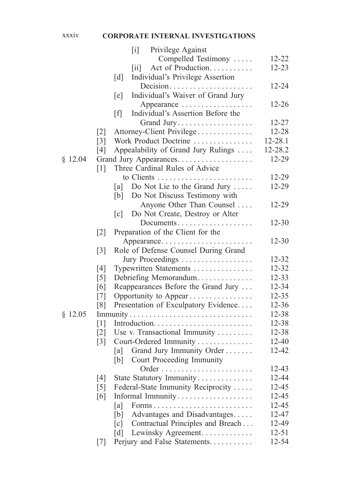#### xxxiv **CORPORATE INTERNAL INVESTIGATIONS**

|         |                   |                   | $\lceil i \rceil$         | Privilege Against                    |           |
|---------|-------------------|-------------------|---------------------------|--------------------------------------|-----------|
|         |                   |                   |                           | Compelled Testimony                  | 12-22     |
|         |                   |                   | $\left[\text{iii}\right]$ | Act of Production                    | $12 - 23$ |
|         |                   | $\lceil d \rceil$ |                           | Individual's Privilege Assertion     |           |
|         |                   |                   |                           | Decision                             | 12-24     |
|         |                   | [e]               |                           | Individual's Waiver of Grand Jury    |           |
|         |                   |                   |                           | Appearance                           | $12 - 26$ |
|         |                   | [f]               |                           | Individual's Assertion Before the    |           |
|         |                   |                   |                           | Grand Jury                           | $12 - 27$ |
|         | $\lceil 2 \rceil$ |                   |                           | Attorney-Client Privilege            | 12-28     |
|         | $\lceil 3 \rceil$ |                   |                           | Work Product Doctrine                | 12-28.1   |
|         | [4]               |                   |                           | Appealability of Grand Jury Rulings  | 12-28.2   |
| \$12.04 |                   |                   |                           | Grand Jury Appearances.              | 12-29     |
|         | $\lceil 1 \rceil$ |                   |                           | Three Cardinal Rules of Advice       |           |
|         |                   |                   |                           |                                      | 12-29     |
|         |                   | [a]               |                           | Do Not Lie to the Grand Jury         | 12-29     |
|         |                   | [b]               |                           | Do Not Discuss Testimony with        |           |
|         |                   |                   |                           | Anyone Other Than Counsel            | 12-29     |
|         |                   | $\lceil c \rceil$ |                           | Do Not Create, Destroy or Alter      |           |
|         |                   |                   |                           | Documents                            | $12 - 30$ |
|         | $\lceil 2 \rceil$ |                   |                           | Preparation of the Client for the    |           |
|         |                   |                   |                           | Appearance                           | $12 - 30$ |
|         | $\lceil 3 \rceil$ |                   |                           | Role of Defense Counsel During Grand |           |
|         |                   |                   |                           | Jury Proceedings                     | 12-32     |
|         | [4]               |                   |                           | Typewritten Statements               | 12-32     |
|         | [5]               |                   |                           | Debriefing Memorandum                | $12 - 33$ |
|         | [6]               |                   |                           | Reappearances Before the Grand Jury  | 12-34     |
|         | [7]               |                   |                           | Opportunity to Appear                | 12-35     |
|         | [8]               |                   |                           | Presentation of Exculpatory Evidence | 12-36     |
| \$12.05 |                   |                   |                           | Immunity                             | 12-38     |
|         | $\lceil 1 \rceil$ |                   |                           |                                      | 12-38     |
|         | $\lceil 2 \rceil$ |                   |                           | Use v. Transactional Immunity        | 12-38     |
|         | $\lceil 3 \rceil$ |                   |                           | Court-Ordered Immunity               | $12 - 40$ |
|         |                   | [a]               |                           | Grand Jury Immunity Order            | 12-42     |
|         |                   | [b]               |                           | Court Proceeding Immunity            |           |
|         |                   |                   |                           |                                      | 12-43     |
|         | [4]               |                   |                           | State Statutory Immunity             | 12-44     |
|         | $\lceil 5 \rceil$ |                   |                           | Federal-State Immunity Reciprocity   | 12-45     |
|         | [6]               |                   |                           | Informal Immunity                    | 12-45     |
|         |                   | [a]               |                           | Forms                                | 12-45     |
|         |                   | [b]               |                           | Advantages and Disadvantages         | 12-47     |
|         |                   | $\lceil c \rceil$ |                           | Contractual Principles and Breach    | 12-49     |
|         |                   | $\lceil d \rceil$ |                           | Lewinsky Agreement.                  | $12 - 51$ |
|         | $[7]$             |                   |                           | Perjury and False Statements.        | 12-54     |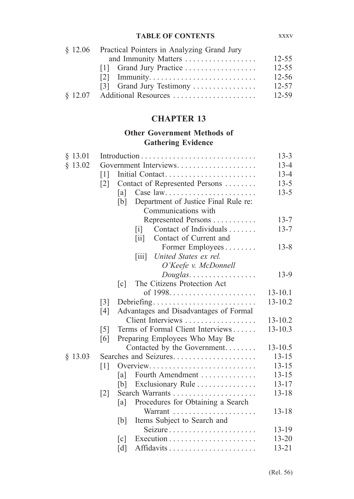| § 12.06 Practical Pointers in Analyzing Grand Jury |           |  |  |  |
|----------------------------------------------------|-----------|--|--|--|
| and Immunity Matters                               | $12 - 55$ |  |  |  |
| [1] Grand Jury Practice                            | $12 - 55$ |  |  |  |
|                                                    | $12 - 56$ |  |  |  |
| [3] Grand Jury Testimony                           | $12 - 57$ |  |  |  |
|                                                    | 12-59     |  |  |  |

# **CHAPTER 13**

# **Other Government Methods of Gathering Evidence**

|                   |                                                     | $13 - 3$                                                                                                                                                                                                            |
|-------------------|-----------------------------------------------------|---------------------------------------------------------------------------------------------------------------------------------------------------------------------------------------------------------------------|
|                   |                                                     | $13 - 4$                                                                                                                                                                                                            |
| 1                 | Initial Contact                                     | $13 - 4$                                                                                                                                                                                                            |
| $\lceil 2 \rceil$ |                                                     | $13 - 5$                                                                                                                                                                                                            |
|                   | [a]                                                 | $13 - 5$                                                                                                                                                                                                            |
|                   | [b]                                                 |                                                                                                                                                                                                                     |
|                   | Communications with                                 |                                                                                                                                                                                                                     |
|                   | Represented Persons                                 | $13 - 7$                                                                                                                                                                                                            |
|                   | Contact of Individuals<br>$\lceil i \rceil$         | $13 - 7$                                                                                                                                                                                                            |
|                   | Contact of Current and<br>$\left[\text{iii}\right]$ |                                                                                                                                                                                                                     |
|                   |                                                     | $13 - 8$                                                                                                                                                                                                            |
|                   | United States ex rel.<br>$\left[ 111 \right]$       |                                                                                                                                                                                                                     |
|                   |                                                     |                                                                                                                                                                                                                     |
|                   | $Douglas \dots \dots \dots \dots \dots$             | $13-9$                                                                                                                                                                                                              |
|                   | The Citizens Protection Act<br>$\lceil c \rceil$    |                                                                                                                                                                                                                     |
|                   |                                                     | $13 - 10.1$                                                                                                                                                                                                         |
| $\lceil 3 \rceil$ |                                                     | $13 - 10.2$                                                                                                                                                                                                         |
| [4]               | Advantages and Disadvantages of Formal              |                                                                                                                                                                                                                     |
|                   |                                                     | $13 - 10.2$                                                                                                                                                                                                         |
| $\lceil 5 \rceil$ | Terms of Formal Client Interviews                   | $13 - 10.3$                                                                                                                                                                                                         |
| [6]               | Preparing Employees Who May Be                      |                                                                                                                                                                                                                     |
|                   | Contacted by the Government                         | $13 - 10.5$                                                                                                                                                                                                         |
|                   |                                                     | $13 - 15$                                                                                                                                                                                                           |
| $\lceil 1 \rceil$ | Overview                                            | $13 - 15$                                                                                                                                                                                                           |
|                   | Fourth Amendment<br> a                              | $13 - 15$                                                                                                                                                                                                           |
|                   | Exclusionary Rule<br>[b]                            | $13 - 17$                                                                                                                                                                                                           |
| $\lceil 2 \rceil$ |                                                     | $13 - 18$                                                                                                                                                                                                           |
|                   | Procedures for Obtaining a Search<br>[a]            |                                                                                                                                                                                                                     |
|                   | Warrant                                             | $13 - 18$                                                                                                                                                                                                           |
|                   | [b]<br>Items Subject to Search and                  |                                                                                                                                                                                                                     |
|                   |                                                     | $13 - 19$                                                                                                                                                                                                           |
|                   | $\lceil c \rceil$                                   | $13 - 20$                                                                                                                                                                                                           |
|                   | [d]                                                 | $13 - 21$                                                                                                                                                                                                           |
|                   |                                                     | Government Interviews<br>Contact of Represented Persons<br>Case law<br>Department of Justice Final Rule re:<br>Former Employees<br>O'Keefe v. McDonnell<br>Debriefing<br>Client Interviews<br>Searches and Seizures |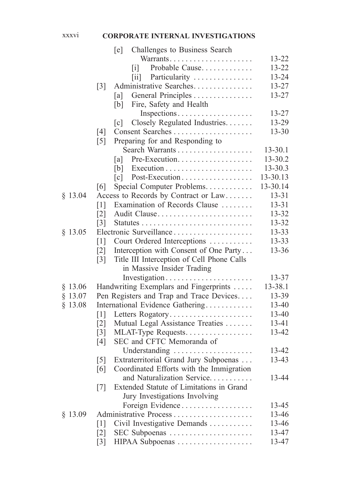#### xxxvi **CORPORATE INTERNAL INVESTIGATIONS**

|           | [e]<br>Challenges to Business Search                            |           |
|-----------|-----------------------------------------------------------------|-----------|
|           |                                                                 | 13-22     |
|           | Probable Cause<br>$\lceil i \rceil$                             | 13-22     |
|           | Particularity<br>$\left[\text{iii}\right]$                      | 13-24     |
|           | Administrative Searches<br>$\lceil 3 \rceil$                    | 13-27     |
|           | General Principles<br>[a]                                       | 13-27     |
|           | Fire, Safety and Health<br>[b]                                  |           |
|           | Inspections                                                     | 13-27     |
|           | Closely Regulated Industries.<br>$\lceil c \rceil$              | 13-29     |
|           | [4]                                                             | $13 - 30$ |
|           | Preparing for and Responding to<br>$\lceil 5 \rceil$            |           |
|           |                                                                 | 13-30.1   |
|           | Pre-Execution<br>[a]                                            | 13-30.2   |
|           | $Execution \dots \dots \dots \dots \dots \dots \dots$<br>[b]    | 13-30.3   |
|           | Post-Execution<br>$\lceil c \rceil$                             | 13-30.13  |
|           | Special Computer Problems<br>[6]                                | 13-30.14  |
| $§$ 13.04 | Access to Records by Contract or Law                            | $13 - 31$ |
|           | Examination of Records Clause<br>$\lceil 1 \rceil$              | $13 - 31$ |
|           | Audit Clause<br>$\lceil 2 \rceil$                               | 13-32     |
|           | $\lceil 3 \rceil$                                               | 13-32     |
| \$13.05   | Electronic Surveillance                                         | $13 - 33$ |
|           | Court Ordered Interceptions<br>$\lceil 1 \rceil$                | 13-33     |
|           | Interception with Consent of One Party<br>$\lceil 2 \rceil$     | 13-36     |
|           | Title III Interception of Cell Phone Calls<br>$\lceil 3 \rceil$ |           |
|           | in Massive Insider Trading                                      |           |
|           | Investigation                                                   | 13-37     |
| $§$ 13.06 | Handwriting Exemplars and Fingerprints                          | 13-38.1   |
| $§$ 13.07 | Pen Registers and Trap and Trace Devices                        | 13-39     |
| $§$ 13.08 | International Evidence Gathering                                | 13-40     |
|           | $\lceil 1 \rceil$<br>Letters Rogatory                           | 13-40     |
|           | Mutual Legal Assistance Treaties<br>$\lceil 2 \rceil$           | 13-41     |
|           | $\lceil 3 \rceil$<br>MLAT-Type Requests                         | 13-42     |
|           | SEC and CFTC Memoranda of<br>[4]                                |           |
|           | Understanding                                                   | 13-42     |
|           | Extraterritorial Grand Jury Subpoenas<br>$\lceil 5 \rceil$      | 13-43     |
|           | Coordinated Efforts with the Immigration<br>[6]                 |           |
|           | and Naturalization Service                                      | 13-44     |
|           | Extended Statute of Limitations in Grand<br>$[7]$               |           |
|           | Jury Investigations Involving                                   |           |
|           | Foreign Evidence                                                | 13-45     |
| $§$ 13.09 |                                                                 | 13-46     |
|           | Civil Investigative Demands<br>$\lceil 1 \rceil$                | 13-46     |
|           | $\lceil 2 \rceil$<br>SEC Subpoenas                              | 13-47     |
|           | HIPAA Subpoenas<br>$\lceil 3 \rceil$                            | 13-47     |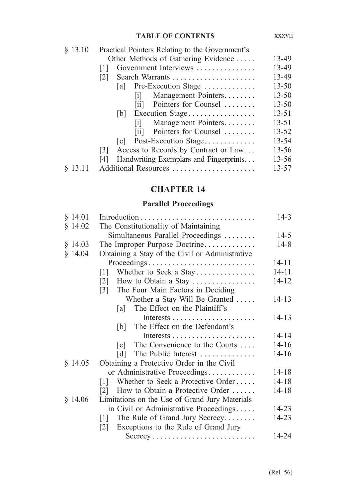| \$13.10 | Practical Pointers Relating to the Government's |           |  |  |  |
|---------|-------------------------------------------------|-----------|--|--|--|
|         | Other Methods of Gathering Evidence             | 13-49     |  |  |  |
|         | Government Interviews                           | 13-49     |  |  |  |
|         | 121                                             | 13-49     |  |  |  |
|         | [a] Pre-Execution Stage                         | $13 - 50$ |  |  |  |
|         | Management Pointers<br>lil                      | $13 - 50$ |  |  |  |
|         | [ii] Pointers for Counsel                       | $13 - 50$ |  |  |  |
|         | Execution Stage<br> b                           | $13 - 51$ |  |  |  |
|         | Management Pointers<br>Ш                        | $13 - 51$ |  |  |  |
|         | [ii] Pointers for Counsel                       | $13 - 52$ |  |  |  |
|         | Post-Execution Stage<br> c                      | 13-54     |  |  |  |
|         | Access to Records by Contract or Law<br> 3      | $13 - 56$ |  |  |  |
|         | Handwriting Exemplars and Fingerprints<br>[4]   | $13 - 56$ |  |  |  |
|         | Additional Resources                            | 13-57     |  |  |  |
|         |                                                 |           |  |  |  |

# **CHAPTER 14**

# **Parallel Proceedings**

| $§$ 14.01 |                                                                       | $14 - 3$  |
|-----------|-----------------------------------------------------------------------|-----------|
| $§$ 14.02 | The Constitutionality of Maintaining                                  |           |
|           | Simultaneous Parallel Proceedings                                     | $14 - 5$  |
| $§$ 14.03 | The Improper Purpose Doctrine                                         | $14 - 8$  |
| $§$ 14.04 | Obtaining a Stay of the Civil or Administrative                       |           |
|           | Proceedings                                                           | 14-11     |
|           | Whether to Seek a Stay<br>$\lceil 1 \rceil$                           | $14 - 11$ |
|           | How to Obtain a Stay<br>$\lceil 2 \rceil$                             | $14 - 12$ |
|           | The Four Main Factors in Deciding<br>$\lceil 3 \rceil$                |           |
|           | Whether a Stay Will Be Granted                                        | $14 - 13$ |
|           | The Effect on the Plaintiff's<br> a                                   |           |
|           |                                                                       | 14-13     |
|           | The Effect on the Defendant's<br> b                                   |           |
|           |                                                                       | $14 - 14$ |
|           | The Convenience to the Courts<br> c                                   | $14 - 16$ |
|           | The Public Interest<br> d                                             | $14 - 16$ |
| $§$ 14.05 | Obtaining a Protective Order in the Civil                             |           |
|           | or Administrative Proceedings                                         | $14 - 18$ |
|           | Whether to Seek a Protective Order<br> 1                              | $14 - 18$ |
|           | How to Obtain a Protective Order<br><u>121</u>                        | $14 - 18$ |
| \$14.06   | Limitations on the Use of Grand Jury Materials                        |           |
|           | in Civil or Administrative Proceedings                                | $14 - 23$ |
|           | The Rule of Grand Jury Secrecy<br> 1                                  | $14 - 23$ |
|           | Exceptions to the Rule of Grand Jury<br>$\lceil 2 \rceil$             |           |
|           | $Secrecy \dots \dots \dots \dots \dots \dots \dots \dots \dots \dots$ | 14-24     |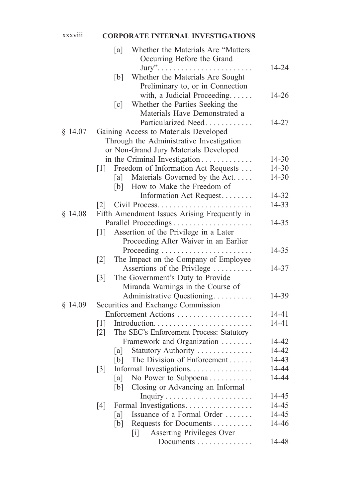# xxxviii **CORPORATE INTERNAL INVESTIGATIONS**

|           | Whether the Materials Are "Matters<br>[a]<br>Occurring Before the Grand               |                |
|-----------|---------------------------------------------------------------------------------------|----------------|
|           | $\text{Jury}$<br>Whether the Materials Are Sought<br>[b]                              | 14-24          |
|           | Preliminary to, or in Connection                                                      |                |
|           | with, a Judicial Proceeding                                                           | $14 - 26$      |
|           | Whether the Parties Seeking the<br>$\lceil c \rceil$<br>Materials Have Demonstrated a |                |
|           | Particularized Need                                                                   | 14-27          |
| \$14.07   | Gaining Access to Materials Developed                                                 |                |
|           | Through the Administrative Investigation                                              |                |
|           | or Non-Grand Jury Materials Developed                                                 |                |
|           | in the Criminal Investigation                                                         | $14 - 30$      |
|           | Freedom of Information Act Requests<br>$\lceil 1 \rceil$                              | 14-30          |
|           | Materials Governed by the Act<br> a                                                   | 14-30          |
|           | [b] How to Make the Freedom of                                                        |                |
|           | Information Act Request                                                               | 14-32          |
|           |                                                                                       | 14-33          |
| \$14.08   | Fifth Amendment Issues Arising Frequently in                                          |                |
|           |                                                                                       | 14-35          |
|           | Assertion of the Privilege in a Later<br>$\lceil 1 \rceil$                            |                |
|           | Proceeding After Waiver in an Earlier                                                 |                |
|           | Proceeding                                                                            | $14 - 35$      |
|           | The Impact on the Company of Employee<br>$\lceil 2 \rceil$                            |                |
|           | Assertions of the Privilege                                                           | 14-37          |
|           | The Government's Duty to Provide<br>$\lceil 3 \rceil$                                 |                |
|           | Miranda Warnings in the Course of                                                     |                |
|           | Administrative Questioning                                                            | 14-39          |
| $§$ 14.09 | Securities and Exchange Commission                                                    |                |
|           | Enforcement Actions                                                                   | 14-41          |
|           | $\lceil 1 \rceil$                                                                     | $14 - 41$      |
|           | The SEC's Enforcement Process: Statutory<br>$\lceil 2 \rceil$                         |                |
|           | Framework and Organization                                                            | 14-42          |
|           | Statutory Authority<br> a                                                             | 14-42          |
|           | The Division of Enforcement<br>[b]                                                    | 14-43          |
|           | Informal Investigations.<br>$[3]$                                                     | 14-44          |
|           | No Power to Subpoena<br>[a]                                                           | 14-44          |
|           | Closing or Advancing an Informal<br>[b]                                               |                |
|           |                                                                                       | 14-45<br>14-45 |
|           | Formal Investigations<br>[4]<br>Issuance of a Formal Order<br>[a]                     | 14-45          |
|           | Requests for Documents<br>[b]                                                         | 14-46          |
|           | Asserting Privileges Over<br>$\lceil i \rceil$                                        |                |
|           | Documents                                                                             | 14-48          |
|           |                                                                                       |                |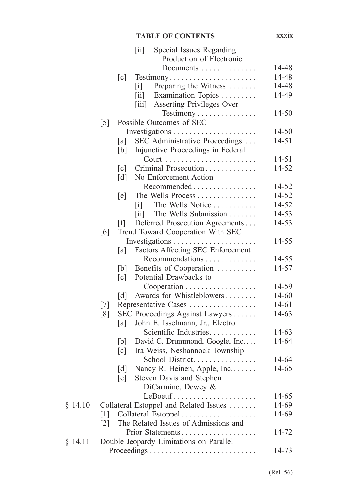|         |                   |                   | $\left[\overline{\text{ii}}\right]$  | Special Issues Regarding                          |           |
|---------|-------------------|-------------------|--------------------------------------|---------------------------------------------------|-----------|
|         |                   |                   |                                      | Production of Electronic                          |           |
|         |                   |                   |                                      | Documents                                         | 14-48     |
|         |                   | $\lceil c \rceil$ |                                      | Testimony                                         | 14-48     |
|         |                   |                   | $\lceil i \rceil$                    | Preparing the Witness                             | 14-48     |
|         |                   |                   | $\left[\text{iii}\right]$            | Examination Topics                                | 14-49     |
|         |                   |                   | $\left[\overline{\text{iii}}\right]$ | Asserting Privileges Over                         |           |
|         |                   |                   |                                      | Testimony                                         | 14-50     |
|         | $\lceil 5 \rceil$ |                   |                                      | Possible Outcomes of SEC                          |           |
|         |                   |                   |                                      |                                                   | $14 - 50$ |
|         |                   | [a]               |                                      | SEC Administrative Proceedings                    | $14 - 51$ |
|         |                   | [b]               |                                      | Injunctive Proceedings in Federal                 |           |
|         |                   |                   |                                      |                                                   | 14-51     |
|         |                   | $\lceil c \rceil$ |                                      | Criminal Prosecution                              | 14-52     |
|         |                   | $\lceil d \rceil$ |                                      | No Enforcement Action                             |           |
|         |                   |                   |                                      | Recommended                                       | 14-52     |
|         |                   | [e]               |                                      | The Wells Process                                 | 14-52     |
|         |                   |                   | $\lceil i \rceil$                    | The Wells Notice                                  | 14-52     |
|         |                   |                   | $\left[\text{iii}\right]$            | The Wells Submission                              | 14-53     |
|         |                   | [f]               |                                      | Deferred Prosecution Agreements                   | 14-53     |
|         | [6]               |                   |                                      | Trend Toward Cooperation With SEC                 |           |
|         |                   |                   |                                      |                                                   | 14-55     |
|         |                   | [a]               |                                      | Factors Affecting SEC Enforcement                 |           |
|         |                   |                   |                                      | Recommendations                                   | 14-55     |
|         |                   | [b]               |                                      | Benefits of Cooperation                           | 14-57     |
|         |                   | $\lceil c \rceil$ |                                      | Potential Drawbacks to                            |           |
|         |                   |                   |                                      | $Cooperation \dots \dots \dots \dots \dots \dots$ | 14-59     |
|         |                   | $\lceil d \rceil$ |                                      | Awards for Whistleblowers                         | 14-60     |
|         | $\lceil 7 \rceil$ |                   |                                      | Representative Cases                              | $14 - 61$ |
|         | [8]               |                   |                                      | SEC Proceedings Against Lawyers                   | 14-63     |
|         |                   | [a]               |                                      | John E. Isselmann, Jr., Electro                   |           |
|         |                   |                   |                                      | Scientific Industries                             | 14-63     |
|         |                   | [b]               |                                      | David C. Drummond, Google, Inc                    | 14-64     |
|         |                   | $\lceil c \rceil$ |                                      | Ira Weiss, Neshannock Township                    |           |
|         |                   |                   |                                      | School District                                   | 14-64     |
|         |                   | $\lceil d \rceil$ |                                      | Nancy R. Heinen, Apple, Inc                       | 14-65     |
|         |                   | [e]               |                                      | Steven Davis and Stephen                          |           |
|         |                   |                   |                                      | DiCarmine, Dewey &                                |           |
|         |                   |                   |                                      | LeBoeuf                                           | 14-65     |
| \$14.10 |                   |                   |                                      | Collateral Estoppel and Related Issues            | 14-69     |
|         | $\lceil 1 \rceil$ |                   |                                      | Collateral Estoppel                               | 14-69     |
|         | $\lceil 2 \rceil$ |                   |                                      | The Related Issues of Admissions and              |           |
|         |                   |                   |                                      | Prior Statements                                  | 14-72     |
| § 14.11 |                   |                   |                                      | Double Jeopardy Limitations on Parallel           |           |
|         |                   |                   |                                      | Proceedings                                       | 14-73     |
|         |                   |                   |                                      |                                                   |           |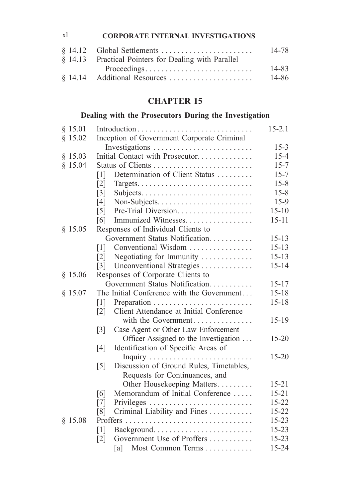#### xl **CORPORATE INTERNAL INVESTIGATIONS**

|                                                      | 14-78 |
|------------------------------------------------------|-------|
| § 14.13 Practical Pointers for Dealing with Parallel |       |
|                                                      | 14-83 |
|                                                      | 14-86 |

# **CHAPTER 15**

# **Dealing with the Prosecutors During the Investigation**

| § 15.01   |                                                              | $15 - 2.1$ |
|-----------|--------------------------------------------------------------|------------|
| \$15.02   | Inception of Government Corporate Criminal                   |            |
|           |                                                              | $15 - 3$   |
| § 15.03   | Initial Contact with Prosecutor                              | $15 - 4$   |
| $§$ 15.04 | Status of Clients                                            | $15 - 7$   |
|           | Determination of Client Status<br>$\lceil 1 \rceil$          | $15 - 7$   |
|           | $\lceil 2 \rceil$                                            | $15 - 8$   |
|           | $\lceil 3 \rceil$<br>Subjects                                | $15 - 8$   |
|           | [4]<br>Non-Subjects                                          | $15-9$     |
|           | Pre-Trial Diversion<br>$\lceil 5 \rceil$                     | $15 - 10$  |
|           | Immunized Witnesses<br>[6]                                   | $15 - 11$  |
| § 15.05   | Responses of Individual Clients to                           |            |
|           | Government Status Notification                               | $15 - 13$  |
|           | Conventional Wisdom<br>$\lceil 1 \rceil$                     | $15 - 13$  |
|           | Negotiating for Immunity<br>$\lceil 2 \rceil$                | $15 - 13$  |
|           | Unconventional Strategies<br>$\lceil 3 \rceil$               | $15 - 14$  |
| \$15.06   | Responses of Corporate Clients to                            |            |
|           | Government Status Notification                               | $15 - 17$  |
| § 15.07   | The Initial Conference with the Government                   | $15 - 18$  |
|           | $\lceil 1 \rceil$                                            | $15 - 18$  |
|           | Client Attendance at Initial Conference<br>$\lceil 2 \rceil$ |            |
|           | with the Government                                          | $15-19$    |
|           | Case Agent or Other Law Enforcement<br>$\lceil 3 \rceil$     |            |
|           | Officer Assigned to the Investigation                        | $15 - 20$  |
|           | Identification of Specific Areas of<br>[4]                   |            |
|           |                                                              | $15 - 20$  |
|           | Discussion of Ground Rules, Timetables,<br>$\lceil 5 \rceil$ |            |
|           | Requests for Continuances, and                               |            |
|           | Other Housekeeping Matters                                   | $15 - 21$  |
|           | Memorandum of Initial Conference<br>[6]                      | $15 - 21$  |
|           | [7]                                                          | $15 - 22$  |
|           | Criminal Liability and Fines<br>[8]                          | $15 - 22$  |
| \$15.08   |                                                              | $15 - 23$  |
|           | Background<br>$\lceil 1 \rceil$                              | $15 - 23$  |
|           | Government Use of Proffers<br>$\lceil 2 \rceil$              | $15 - 23$  |
|           | Most Common Terms<br>[a]                                     | 15-24      |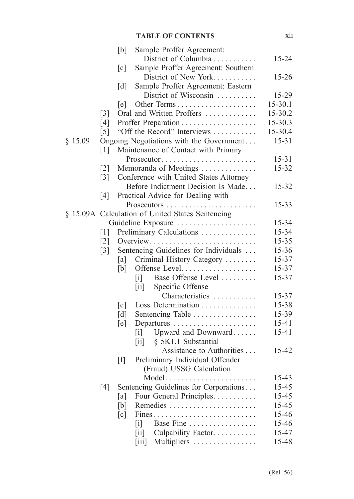|           |                   | [b]               | Sample Proffer Agreement:                                          |           |
|-----------|-------------------|-------------------|--------------------------------------------------------------------|-----------|
|           |                   |                   | District of Columbia                                               | $15 - 24$ |
|           |                   | $\lceil c \rceil$ | Sample Proffer Agreement: Southern                                 |           |
|           |                   |                   | District of New York                                               | $15 - 26$ |
|           |                   | $\lceil d \rceil$ | Sample Proffer Agreement: Eastern                                  |           |
|           |                   |                   | District of Wisconsin                                              | 15-29     |
|           |                   | [e]               | Other Terms                                                        | 15-30.1   |
|           | $\lceil 3 \rceil$ |                   | Oral and Written Proffers                                          | 15-30.2   |
|           | [4]               |                   |                                                                    | 15-30.3   |
|           | $\lceil 5 \rceil$ |                   | "Off the Record" Interviews                                        | 15-30.4   |
| $§$ 15.09 |                   |                   | Ongoing Negotiations with the Government                           | $15 - 31$ |
|           | $\lceil 1 \rceil$ |                   | Maintenance of Contact with Primary                                |           |
|           |                   |                   | Prosecutor                                                         | $15 - 31$ |
|           | $\lceil 2 \rceil$ |                   | Memoranda of Meetings                                              | 15-32     |
|           | $\lceil 3 \rceil$ |                   | Conference with United States Attorney                             |           |
|           |                   |                   | Before Indictment Decision Is Made                                 | 15-32     |
|           | [4]               |                   | Practical Advice for Dealing with                                  |           |
|           |                   |                   | Prosecutors                                                        | $15 - 33$ |
|           |                   |                   | § 15.09A Calculation of United States Sentencing                   |           |
|           |                   |                   | Guideline Exposure                                                 | 15-34     |
|           | $\lceil 1 \rceil$ |                   | Preliminary Calculations                                           | 15-34     |
|           | $\lceil 2 \rceil$ |                   | Overview                                                           | 15-35     |
|           | $\lceil 3 \rceil$ |                   | Sentencing Guidelines for Individuals                              | 15-36     |
|           |                   | [a]               | Criminal History Category                                          | 15-37     |
|           |                   | [b]               | Offense Level                                                      | 15-37     |
|           |                   |                   | Base Offense Level<br>$\lceil i \rceil$                            | 15-37     |
|           |                   |                   | Specific Offense<br>$\left\lceil \text{i} \mathbf{i} \right\rceil$ |           |
|           |                   |                   | Characteristics                                                    | 15-37     |
|           |                   | $\lceil c \rceil$ | Loss Determination                                                 | 15-38     |
|           |                   | $\lceil d \rceil$ | Sentencing Table                                                   | 15-39     |
|           |                   | [e]               |                                                                    | 15-41     |
|           |                   |                   | Upward and Downward<br>[i]                                         | 15-41     |
|           |                   |                   | § 5K1.1 Substantial<br>$\left[\text{ii}\right]$                    |           |
|           |                   |                   | Assistance to Authorities                                          | 15-42     |
|           |                   | [f]               | Preliminary Individual Offender                                    |           |
|           |                   |                   | (Fraud) USSG Calculation                                           |           |
|           |                   |                   | Model                                                              | 15-43     |
|           | [4]               |                   | Sentencing Guidelines for Corporations                             | 15-45     |
|           |                   | [a]               | Four General Principles.                                           | 15-45     |
|           |                   | [b]               |                                                                    | 15-45     |
|           |                   | [c]               |                                                                    | 15-46     |
|           |                   |                   | Base Fine<br>$\lceil i \rceil$                                     | 15-46     |
|           |                   |                   | Culpability Factor.<br>$\left[\text{iii}\right]$                   | 15-47     |
|           |                   |                   | Multipliers<br>$\left[\overline{\text{iii}}\right]$                | 15-48     |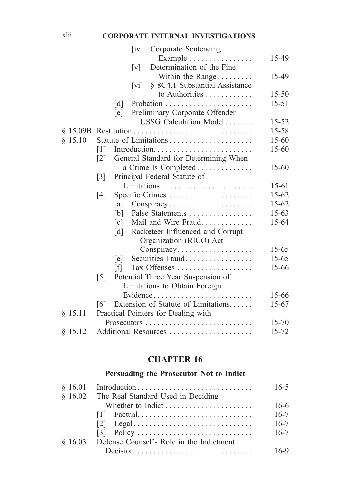# xlii **CORPORATE INTERNAL INVESTIGATIONS**

|         |                   | $\lceil iv \rceil$<br>Corporate Sentencing                    |           |
|---------|-------------------|---------------------------------------------------------------|-----------|
|         |                   | Example $\dots\dots\dots\dots\dots\dots$                      | 15-49     |
|         |                   | Determination of the Fine<br>$\lceil v \rceil$                |           |
|         |                   | Within the Range                                              | 15-49     |
|         |                   | § 8C4.1 Substantial Assistance<br>$\lceil \mathrm{vi} \rceil$ |           |
|         |                   | to Authorities                                                | $15 - 50$ |
|         | $\lceil d \rceil$ |                                                               | $15 - 51$ |
|         | [e]               | Preliminary Corporate Offender                                |           |
|         |                   | USSG Calculation Model                                        | $15 - 52$ |
|         |                   |                                                               | 15-58     |
| \$15.10 |                   |                                                               | 15-60     |
|         | $\lceil 1 \rceil$ |                                                               | $15 - 60$ |
|         | $\lceil 2 \rceil$ | General Standard for Determining When                         |           |
|         |                   | a Crime Is Completed                                          | 15-60     |
|         | $\lceil 3 \rceil$ | Principal Federal Statute of                                  |           |
|         |                   | Limitations                                                   | 15-61     |
|         | [4]               | Specific Crimes                                               | $15 - 62$ |
|         | [a]               |                                                               | $15 - 62$ |
|         | [b]               | False Statements                                              | $15 - 63$ |
|         | $\lceil c \rceil$ | Mail and Wire Fraud                                           | 15-64     |
|         | $\lceil d \rceil$ | Racketeer Influenced and Corrupt                              |           |
|         |                   | Organization (RICO) Act                                       |           |
|         |                   |                                                               | $15 - 65$ |
|         | [e]               | Securities Fraud                                              | $15 - 65$ |
|         | [f]               | Tax Offenses                                                  | 15-66     |
|         | $\lceil 5 \rceil$ | Potential Three Year Suspension of                            |           |
|         |                   | Limitations to Obtain Foreign                                 |           |
|         |                   | Evidence                                                      | 15-66     |
|         | [6]               | Extension of Statute of Limitations                           | $15 - 67$ |
| § 15.11 |                   | Practical Pointers for Dealing with                           |           |
|         |                   |                                                               | $15 - 70$ |
| § 15.12 |                   | Additional Resources                                          | 15-72     |
|         |                   |                                                               |           |

# **CHAPTER 16**

# **Persuading the Prosecutor Not to Indict**

|                                                                                 | $16 - 5$ |
|---------------------------------------------------------------------------------|----------|
| § 16.02 The Real Standard Used in Deciding                                      |          |
|                                                                                 | $16-6$   |
|                                                                                 | $16 - 7$ |
| $[2] \text{ Legal} \dots \dots \dots \dots \dots \dots \dots \dots \dots \dots$ | $16 - 7$ |
|                                                                                 | $16 - 7$ |
| § 16.03 Defense Counsel's Role in the Indictment                                |          |
|                                                                                 | $16-9$   |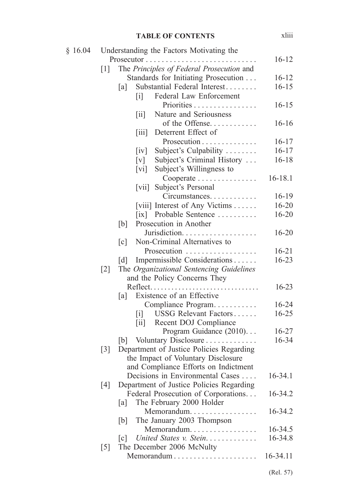| § 16.04 |                   | Understanding the Factors Motivating the                        |             |
|---------|-------------------|-----------------------------------------------------------------|-------------|
|         |                   | Prosecutor                                                      | $16 - 12$   |
|         | $\lceil 1 \rceil$ | The Principles of Federal Prosecution and                       |             |
|         |                   | Standards for Initiating Prosecution                            | $16 - 12$   |
|         |                   | Substantial Federal Interest<br>[a]                             | $16 - 15$   |
|         |                   | Federal Law Enforcement<br>$\lceil i \rceil$                    |             |
|         |                   | Priorities                                                      | $16 - 15$   |
|         |                   | Nature and Seriousness<br>$\left[\overline{\text{i}}\right]$    |             |
|         |                   | of the Offense                                                  | $16-16$     |
|         |                   | Deterrent Effect of<br>$\left\lceil \frac{1}{111} \right\rceil$ |             |
|         |                   | Prosecution                                                     | $16 - 17$   |
|         |                   | Subject's Culpability<br>$\left[\mathrm{iv}\right]$             | $16 - 17$   |
|         |                   | Subject's Criminal History<br>$\lceil v \rceil$                 | $16 - 18$   |
|         |                   | Subject's Willingness to<br>$\lceil \mathrm{vi} \rceil$         |             |
|         |                   | Cooperate                                                       | $16 - 18.1$ |
|         |                   | [vii] Subject's Personal                                        |             |
|         |                   | Circumstances                                                   | $16-19$     |
|         |                   | [viii] Interest of Any Victims                                  | $16 - 20$   |
|         |                   | $\left[ \text{ix} \right]$ Probable Sentence                    | $16 - 20$   |
|         |                   | Prosecution in Another<br>[b]                                   |             |
|         |                   | Jurisdiction.                                                   | $16 - 20$   |
|         |                   | Non-Criminal Alternatives to<br>$\lceil c \rceil$               |             |
|         |                   | Prosecution                                                     | $16 - 21$   |
|         |                   | Impermissible Considerations<br>$\lceil d \rceil$               | $16 - 23$   |
|         | $\lceil 2 \rceil$ | The Organizational Sentencing Guidelines                        |             |
|         |                   | and the Policy Concerns They                                    |             |
|         |                   | $Reflect. \ldots \ldots \ldots \ldots \ldots$<br>.              | 16-23       |
|         |                   | Existence of an Effective<br>[a]                                |             |
|         |                   | Compliance Program                                              | $16 - 24$   |
|         |                   | [i] USSG Relevant Factors                                       | 16-25       |
|         |                   | Recent DOJ Compliance<br>$\left[\text{iii}\right]$              |             |
|         |                   | Program Guidance (2010)                                         | $16 - 27$   |
|         |                   |                                                                 | 16-34       |
|         | $\lceil 3 \rceil$ | Department of Justice Policies Regarding                        |             |
|         |                   | the Impact of Voluntary Disclosure                              |             |
|         |                   | and Compliance Efforts on Indictment                            |             |
|         |                   | Decisions in Environmental Cases                                | $16 - 34.1$ |
|         | [4]               | Department of Justice Policies Regarding                        |             |
|         |                   | Federal Prosecution of Corporations                             | 16-34.2     |
|         |                   | The February 2000 Holder<br>[a]                                 | 16-34.2     |
|         |                   | Memorandum                                                      |             |
|         |                   | The January 2003 Thompson<br>[b]<br>Memorandum                  | 16-34.5     |
|         |                   | United States v. Stein.<br>$\lceil c \rceil$                    | 16-34.8     |
|         | $\lceil 5 \rceil$ | The December 2006 McNulty                                       |             |
|         |                   | Memorandum                                                      | 16-34.11    |
|         |                   |                                                                 |             |
|         |                   |                                                                 |             |

xliii

(Rel. 57)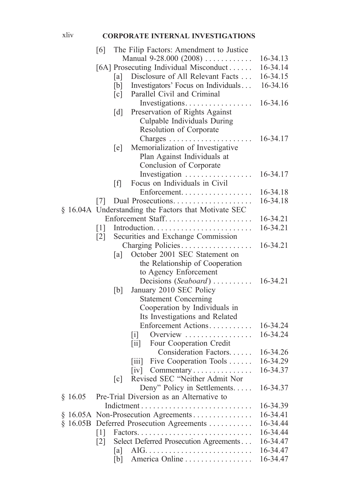## xliv **CORPORATE INTERNAL INVESTIGATIONS**

|         | [6]               |                   | The Filip Factors: Amendment to Justice                                         |          |
|---------|-------------------|-------------------|---------------------------------------------------------------------------------|----------|
|         |                   |                   | Manual $9-28.000$ $(2008)$                                                      | 16-34.13 |
|         |                   |                   | [6A] Prosecuting Individual Misconduct                                          | 16-34.14 |
|         |                   | [a]               | Disclosure of All Relevant Facts                                                | 16-34.15 |
|         |                   | [b]               | Investigators' Focus on Individuals                                             | 16-34.16 |
|         |                   | $\lceil c \rceil$ | Parallel Civil and Criminal                                                     |          |
|         |                   |                   | Investigations                                                                  | 16-34.16 |
|         |                   |                   |                                                                                 |          |
|         |                   | $\lceil d \rceil$ | Preservation of Rights Against<br>Culpable Individuals During                   |          |
|         |                   |                   |                                                                                 |          |
|         |                   |                   | Resolution of Corporate                                                         | 16-34.17 |
|         |                   |                   | Charges<br>$\cdots$                                                             |          |
|         |                   | [e]               | Memorialization of Investigative                                                |          |
|         |                   |                   | Plan Against Individuals at                                                     |          |
|         |                   |                   | Conclusion of Corporate                                                         |          |
|         |                   |                   | Investigation                                                                   | 16-34.17 |
|         |                   | $\lceil f \rceil$ | Focus on Individuals in Civil                                                   |          |
|         |                   |                   | Enforcement.                                                                    | 16-34.18 |
|         | 7                 |                   | Dual Prosecutions                                                               | 16-34.18 |
|         |                   |                   | § 16.04A Understanding the Factors that Motivate SEC                            |          |
|         |                   |                   | Enforcement Staff                                                               | 16-34.21 |
|         | $\lceil 1 \rceil$ |                   |                                                                                 | 16-34.21 |
|         | $\lceil 2 \rceil$ |                   | Securities and Exchange Commission                                              |          |
|         |                   |                   | Charging Policies                                                               | 16-34.21 |
|         |                   | [a]               | October 2001 SEC Statement on                                                   |          |
|         |                   |                   | the Relationship of Cooperation                                                 |          |
|         |                   |                   | to Agency Enforcement                                                           |          |
|         |                   |                   | Decisions (Seaboard)                                                            | 16-34.21 |
|         |                   | [b]               | January 2010 SEC Policy                                                         |          |
|         |                   |                   | <b>Statement Concerning</b>                                                     |          |
|         |                   |                   | Cooperation by Individuals in                                                   |          |
|         |                   |                   | Its Investigations and Related                                                  |          |
|         |                   |                   | Enforcement Actions                                                             | 16-34.24 |
|         |                   |                   | $\begin{bmatrix} 1 \end{bmatrix}$<br>Overview                                   | 16-34.24 |
|         |                   |                   | [ii] Four Cooperation Credit                                                    |          |
|         |                   |                   | Consideration Factors                                                           | 16-34.26 |
|         |                   |                   | Five Cooperation Tools<br>$\left\lceil \text{i} \text{i} \text{i} \right\rceil$ | 16-34.29 |
|         |                   |                   | $\lceil$ iv $\rceil$<br>Commentary                                              | 16-34.37 |
|         |                   | $\lceil c \rceil$ | Revised SEC "Neither Admit Nor                                                  |          |
|         |                   |                   | Deny" Policy in Settlements                                                     | 16-34.37 |
| § 16.05 |                   |                   | Pre-Trial Diversion as an Alternative to                                        |          |
|         |                   |                   |                                                                                 | 16-34.39 |
|         |                   |                   |                                                                                 | 16-34.41 |
|         |                   |                   | § 16.05B Deferred Prosecution Agreements                                        | 16-34.44 |
|         | 1                 |                   | Factors<br>.                                                                    | 16-34.44 |
|         | $\lceil 2 \rceil$ |                   | Select Deferred Prosecution Agreements                                          | 16-34.47 |
|         |                   | [a]               | $AIG.$ .                                                                        | 16-34.47 |
|         |                   | [b]               | America Online                                                                  | 16-34.47 |
|         |                   |                   |                                                                                 |          |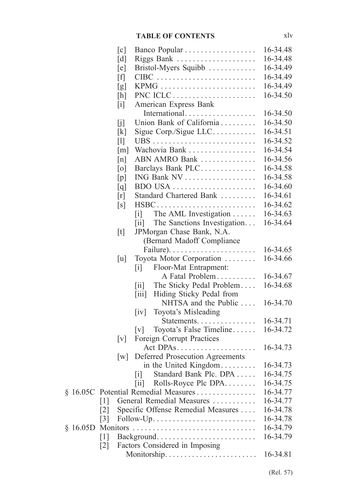|          | $\lceil c \rceil$                              | Banco Popular                                                  | 16-34.48 |
|----------|------------------------------------------------|----------------------------------------------------------------|----------|
|          | $\lceil d \rceil$                              | Riggs Bank                                                     | 16-34.48 |
|          | [e]                                            | Bristol-Myers Squibb                                           | 16-34.49 |
|          | $[f]$                                          |                                                                | 16-34.49 |
|          | [g]                                            |                                                                | 16-34.49 |
|          | [h]                                            | PNC ICLC                                                       | 16-34.50 |
|          | $\left[ \begin{matrix} 1 \end{matrix} \right]$ | American Express Bank                                          |          |
|          |                                                | International                                                  | 16-34.50 |
|          | [j]                                            | Union Bank of California                                       | 16-34.50 |
|          | [k]                                            | Sigue Corp./Sigue $LLC$                                        | 16-34.51 |
|          | $[1]$                                          |                                                                | 16-34.52 |
|          | $\lceil m \rceil$                              | Wachovia Bank                                                  | 16-34.54 |
|          | [n]                                            | ABN AMRO Bank                                                  | 16-34.56 |
|          | [0]                                            | Barclays Bank PLC                                              | 16-34.58 |
|          | [p]                                            | ING Bank NV                                                    | 16-34.58 |
|          | [q]                                            |                                                                | 16-34.60 |
|          | [r]                                            | Standard Chartered Bank                                        | 16-34.61 |
|          | [s]                                            | $HSBC \ldots \ldots \ldots \ldots \ldots \ldots \ldots \ldots$ | 16-34.62 |
|          |                                                | The AML Investigation<br>$\lceil i \rceil$                     | 16-34.63 |
|          |                                                | The Sanctions Investigation<br>$\left[ \text{ii} \right]$      | 16-34.64 |
|          | [t]                                            | JPMorgan Chase Bank, N.A.                                      |          |
|          |                                                | (Bernard Madoff Compliance)                                    |          |
|          |                                                | Failure). $\ldots \ldots \ldots \ldots \ldots \ldots$          | 16-34.65 |
|          | $\lceil u \rceil$                              | Toyota Motor Corporation                                       | 16-34.66 |
|          |                                                | $\begin{bmatrix} i \end{bmatrix}$<br>Floor-Mat Entrapment:     |          |
|          |                                                | A Fatal Problem                                                | 16-34.67 |
|          |                                                | The Sticky Pedal Problem<br>$\left\lceil 11 \right\rceil$      | 16-34.68 |
|          |                                                | Hiding Sticky Pedal from<br>$\left[\text{iii}\right]$          |          |
|          |                                                | NHTSA and the Public                                           | 16-34.70 |
|          |                                                | Toyota's Misleading<br>$\left[\mathrm{iv}\right]$              |          |
|          |                                                | Statements.                                                    | 16-34.71 |
|          |                                                | Toyota's False Timeline<br>$\lceil v \rceil$                   | 16-34.72 |
|          | $\lceil v \rceil$                              | <b>Foreign Corrupt Practices</b>                               |          |
|          |                                                |                                                                | 16-34.73 |
|          | W                                              | Deferred Prosecution Agreements                                |          |
|          |                                                | in the United Kingdom                                          | 16-34.73 |
|          |                                                | [i] Standard Bank Plc. DPA                                     | 16-34.75 |
|          |                                                | Rolls-Royce Plc DPA<br>$\left[\text{iii}\right]$               | 16-34.75 |
|          |                                                | § 16.05C Potential Remedial Measures                           | 16-34.77 |
|          | $\lceil 1 \rceil$                              | General Remedial Measures                                      | 16-34.77 |
|          | $\lceil 2 \rceil$                              | Specific Offense Remedial Measures                             | 16-34.78 |
|          | $\lceil 3 \rceil$                              |                                                                | 16-34.78 |
| § 16.05D |                                                |                                                                | 16-34.79 |
|          | $\lceil 1 \rceil$                              | Background                                                     | 16-34.79 |
|          | $\lceil 2 \rceil$                              | Factors Considered in Imposing                                 | 16-34.81 |
|          |                                                | Monitorship                                                    |          |
|          |                                                |                                                                |          |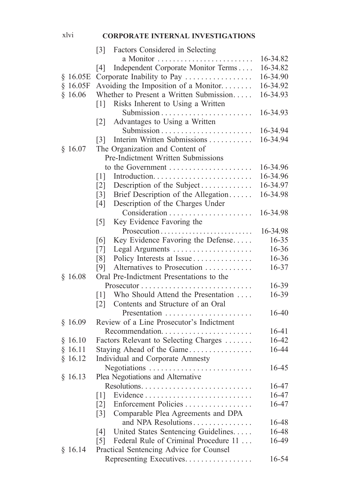# xlvi **CORPORATE INTERNAL INVESTIGATIONS**

|          | Factors Considered in Selecting<br>$\lceil 3 \rceil$       |                       |
|----------|------------------------------------------------------------|-----------------------|
|          |                                                            | 16-34.82              |
|          | Independent Corporate Monitor Terms<br>[4]                 | 16-34.82              |
| \$16.05E | Corporate Inability to Pay                                 | 16-34.90              |
| \$16.05F | Avoiding the Imposition of a Monitor                       | 16-34.92              |
| \$16.06  | Whether to Present a Written Submission                    | 16-34.93              |
|          | Risks Inherent to Using a Written<br>$\lceil 1 \rceil$     |                       |
|          |                                                            | 16-34.93              |
|          | Advantages to Using a Written<br> 2                        |                       |
|          |                                                            | 16-34.94              |
|          | Interim Written Submissions<br>$\lceil 3 \rceil$           | 16-34.94              |
| \$16.07  | The Organization and Content of                            |                       |
|          | Pre-Indictment Written Submissions                         |                       |
|          | to the Government                                          | 16-34.96              |
|          | $\lceil 1 \rceil$                                          | 16-34.96              |
|          | Description of the Subject<br>$\lceil 2 \rceil$            | 16-34.97              |
|          | Brief Description of the Allegation                        | 16-34.98              |
|          | $\lceil 3 \rceil$                                          |                       |
|          | Description of the Charges Under<br>[4]                    |                       |
|          |                                                            | 16-34.98              |
|          | Key Evidence Favoring the<br>$\lceil 5 \rceil$             |                       |
|          | Prosecution                                                | 16-34.98<br>$16 - 35$ |
|          | Key Evidence Favoring the Defense<br>[6]                   | 16-36                 |
|          | Legal Arguments<br>$\lceil 7 \rceil$                       |                       |
|          | Policy Interests at Issue<br>[8]                           | 16-36                 |
|          | Alternatives to Prosecution<br>[9]                         | 16-37                 |
| \$16.08  | Oral Pre-Indictment Presentations to the                   |                       |
|          |                                                            | 16-39                 |
|          | Who Should Attend the Presentation<br>$\lceil 1 \rceil$    | 16-39                 |
|          | Contents and Structure of an Oral<br>$\lceil 2 \rceil$     |                       |
|          |                                                            | 16-40                 |
| §16.09   | Review of a Line Prosecutor's Indictment                   |                       |
|          | Recommendation                                             | $16 - 41$             |
| \$16.10  | Factors Relevant to Selecting Charges                      | 16-42                 |
| § 16.11  | Staying Ahead of the Game                                  | 16-44                 |
| § 16.12  | Individual and Corporate Amnesty                           |                       |
|          | Negotiations                                               | 16-45                 |
| \$16.13  | Plea Negotiations and Alternative                          |                       |
|          |                                                            | 16-47                 |
|          | $\lceil 1 \rceil$                                          | 16-47                 |
|          | Enforcement Policies<br>$\lceil 2 \rceil$                  | 16-47                 |
|          | Comparable Plea Agreements and DPA<br>$\lceil 3 \rceil$    |                       |
|          | and NPA Resolutions                                        | 16-48                 |
|          | United States Sentencing Guidelines<br>[4]                 | 16-48                 |
|          | Federal Rule of Criminal Procedure 11<br>$\lceil 5 \rceil$ | 16-49                 |
| § 16.14  | Practical Sentencing Advice for Counsel                    |                       |
|          | Representing Executives.                                   | 16-54                 |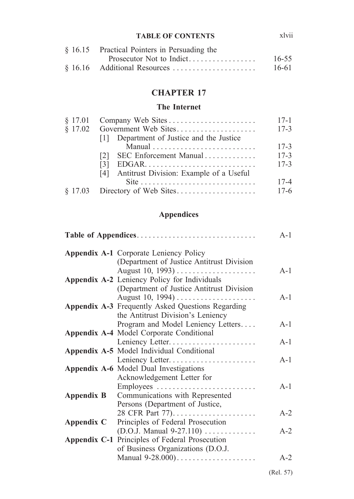xlvii

| $§$ 16.15 Practical Pointers in Persuading the |           |
|------------------------------------------------|-----------|
| Prosecutor Not to Indict                       | $16 - 55$ |
|                                                | 16-61     |

## **CHAPTER 17**

#### **The Internet**

|                                                                       | $17 - 1$ |
|-----------------------------------------------------------------------|----------|
|                                                                       | $17 - 3$ |
| [1] Department of Justice and the Justice                             |          |
|                                                                       | $17 - 3$ |
| SEC Enforcement Manual<br>121                                         | $17 - 3$ |
| 131                                                                   | $17 - 3$ |
| [4] Antitrust Division: Example of a Useful                           |          |
| Site $\ldots \ldots \ldots \ldots \ldots \ldots \ldots \ldots \ldots$ | $17 - 4$ |
|                                                                       | $17-6$   |

# **Appendices**

|                   |                                                          | $A-1$ |
|-------------------|----------------------------------------------------------|-------|
|                   | <b>Appendix A-1 Corporate Leniency Policy</b>            |       |
|                   | (Department of Justice Antitrust Division                |       |
|                   | August 10, 1993)                                         | $A-1$ |
|                   | Appendix A-2 Leniency Policy for Individuals             |       |
|                   | (Department of Justice Antitrust Division                |       |
|                   |                                                          | $A-1$ |
|                   | <b>Appendix A-3</b> Frequently Asked Questions Regarding |       |
|                   | the Antitrust Division's Leniency                        |       |
|                   | Program and Model Leniency Letters                       | $A-1$ |
|                   | <b>Appendix A-4 Model Corporate Conditional</b>          |       |
|                   |                                                          | $A-1$ |
|                   | Appendix A-5 Model Individual Conditional                |       |
|                   |                                                          | $A-1$ |
|                   | <b>Appendix A-6</b> Model Dual Investigations            |       |
|                   | Acknowledgement Letter for                               |       |
|                   | Employees                                                | $A-1$ |
| <b>Appendix B</b> | Communications with Represented                          |       |
|                   | Persons (Department of Justice,                          |       |
|                   |                                                          | $A-2$ |
| Appendix C        | Principles of Federal Prosecution                        |       |
|                   | $(D.O.J. Manual 9-27.110)$                               | $A-2$ |
|                   | Appendix C-1 Principles of Federal Prosecution           |       |
|                   | of Business Organizations (D.O.J.                        |       |
|                   | Manual 9-28.000)                                         | $A-2$ |
|                   |                                                          |       |